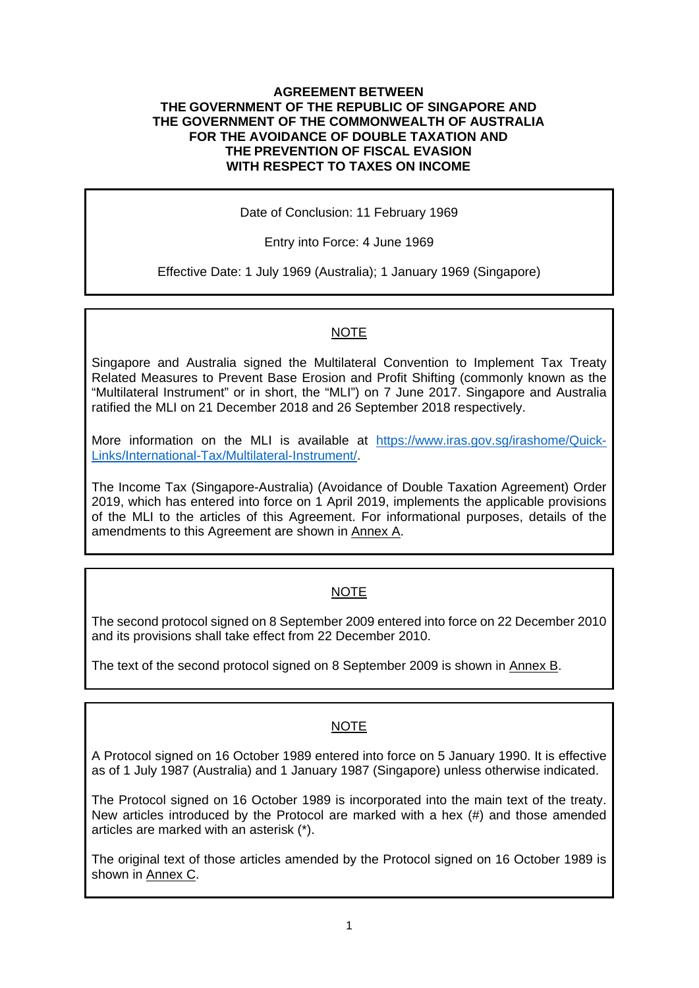#### **AGREEMENT BETWEEN THE GOVERNMENT OF THE REPUBLIC OF SINGAPORE AND THE GOVERNMENT OF THE COMMONWEALTH OF AUSTRALIA FOR THE AVOIDANCE OF DOUBLE TAXATION AND THE PREVENTION OF FISCAL EVASION WITH RESPECT TO TAXES ON INCOME**

Date of Conclusion: 11 February 1969

Entry into Force: 4 June 1969

Effective Date: 1 July 1969 (Australia); 1 January 1969 (Singapore)

#### NOTE

Singapore and Australia signed the Multilateral Convention to Implement Tax Treaty Related Measures to Prevent Base Erosion and Profit Shifting (commonly known as the "Multilateral Instrument" or in short, the "MLI") on 7 June 2017. Singapore and Australia ratified the MLI on 21 December 2018 and 26 September 2018 respectively.

More information on the MLI is available at [https://www.iras.gov.sg/irashome/Quick-](https://www.iras.gov.sg/irashome/Quick-Links/International-Tax/Multilateral-Instrument/)[Links/International-Tax/Multilateral-Instrument/.](https://www.iras.gov.sg/irashome/Quick-Links/International-Tax/Multilateral-Instrument/)

The Income Tax (Singapore-Australia) (Avoidance of Double Taxation Agreement) Order 2019, which has entered into force on 1 April 2019, implements the applicable provisions of the MLI to the articles of this Agreement. For informational purposes, details of the amendments to this Agreement are shown in Annex A.

## NOTE

The second protocol signed on 8 September 2009 entered into force on 22 December 2010 and its provisions shall take effect from 22 December 2010.

The text of the second protocol signed on 8 September 2009 is shown in Annex B.

## NOTE

A Protocol signed on 16 October 1989 entered into force on 5 January 1990. It is effective as of 1 July 1987 (Australia) and 1 January 1987 (Singapore) unless otherwise indicated.

The Protocol signed on 16 October 1989 is incorporated into the main text of the treaty. New articles introduced by the Protocol are marked with a hex (#) and those amended articles are marked with an asterisk (\*).

The original text of those articles amended by the Protocol signed on 16 October 1989 is shown in Annex C.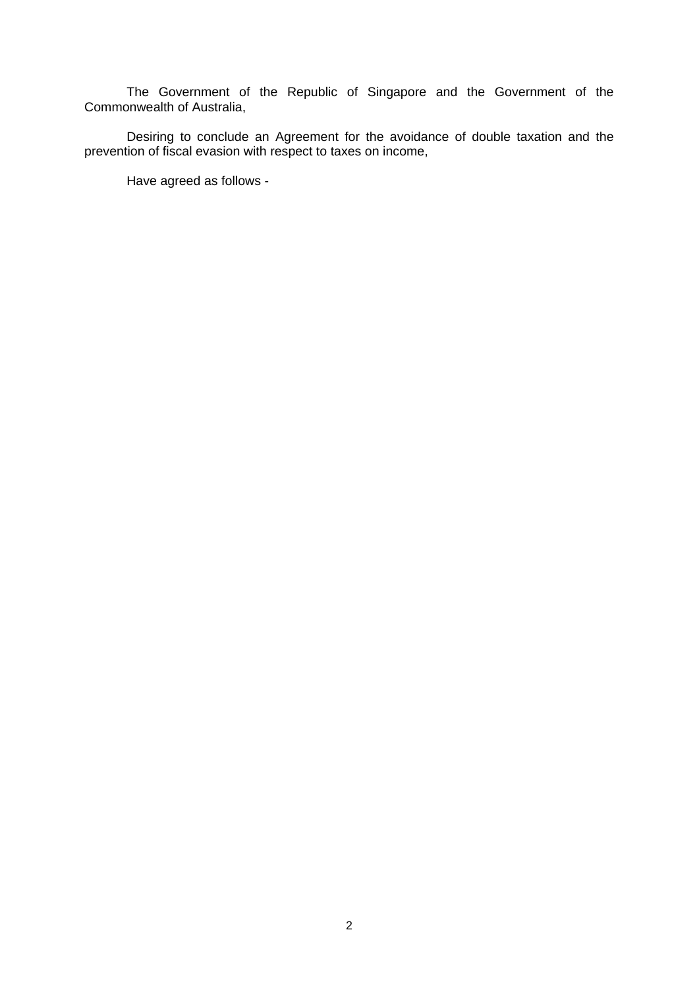The Government of the Republic of Singapore and the Government of the Commonwealth of Australia,

Desiring to conclude an Agreement for the avoidance of double taxation and the prevention of fiscal evasion with respect to taxes on income,

Have agreed as follows -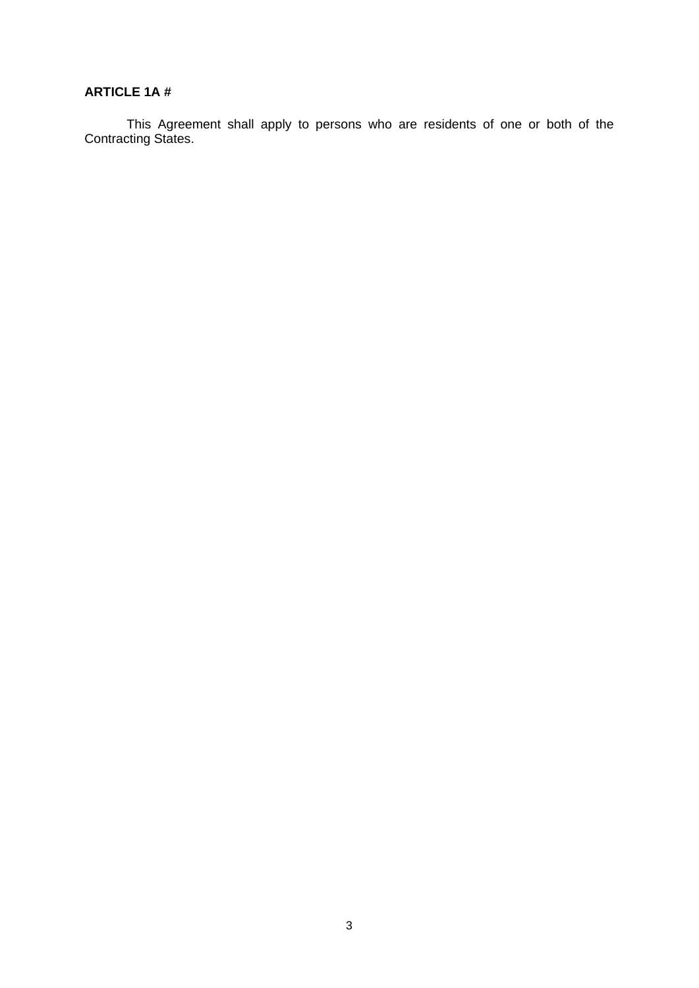## **ARTICLE 1A #**

This Agreement shall apply to persons who are residents of one or both of the Contracting States.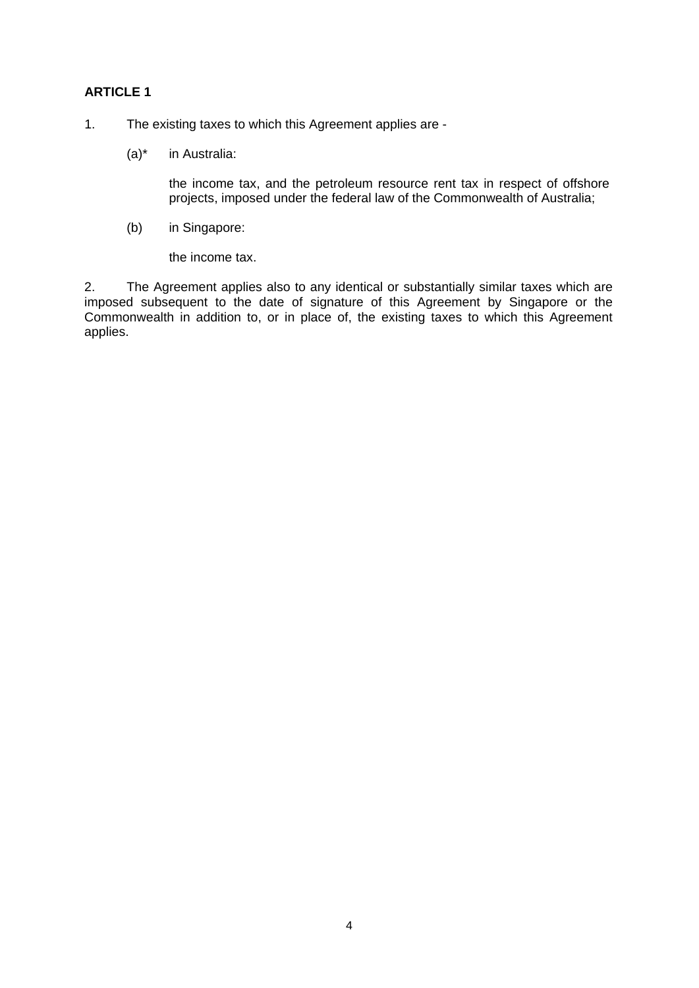- 1. The existing taxes to which this Agreement applies are
	- (a)\* in Australia:

the income tax, and the petroleum resource rent tax in respect of offshore projects, imposed under the federal law of the Commonwealth of Australia;

(b) in Singapore:

the income tax.

2. The Agreement applies also to any identical or substantially similar taxes which are imposed subsequent to the date of signature of this Agreement by Singapore or the Commonwealth in addition to, or in place of, the existing taxes to which this Agreement applies.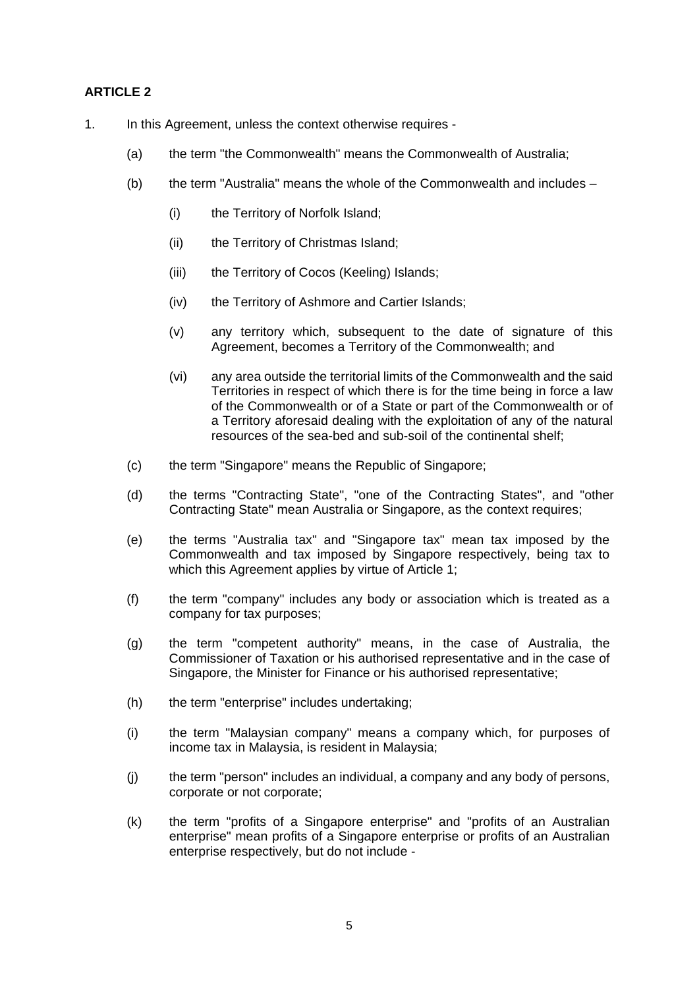- 1. In this Agreement, unless the context otherwise requires
	- (a) the term "the Commonwealth" means the Commonwealth of Australia;
	- (b) the term "Australia" means the whole of the Commonwealth and includes
		- (i) the Territory of Norfolk Island;
		- (ii) the Territory of Christmas Island;
		- (iii) the Territory of Cocos (Keeling) Islands;
		- (iv) the Territory of Ashmore and Cartier Islands;
		- (v) any territory which, subsequent to the date of signature of this Agreement, becomes a Territory of the Commonwealth; and
		- (vi) any area outside the territorial limits of the Commonwealth and the said Territories in respect of which there is for the time being in force a law of the Commonwealth or of a State or part of the Commonwealth or of a Territory aforesaid dealing with the exploitation of any of the natural resources of the sea-bed and sub-soil of the continental shelf;
	- (c) the term "Singapore" means the Republic of Singapore;
	- (d) the terms "Contracting State", "one of the Contracting States", and "other Contracting State" mean Australia or Singapore, as the context requires;
	- (e) the terms "Australia tax" and "Singapore tax" mean tax imposed by the Commonwealth and tax imposed by Singapore respectively, being tax to which this Agreement applies by virtue of Article 1;
	- (f) the term "company" includes any body or association which is treated as a company for tax purposes;
	- (g) the term "competent authority" means, in the case of Australia, the Commissioner of Taxation or his authorised representative and in the case of Singapore, the Minister for Finance or his authorised representative;
	- (h) the term "enterprise" includes undertaking;
	- (i) the term "Malaysian company" means a company which, for purposes of income tax in Malaysia, is resident in Malaysia;
	- (j) the term "person" includes an individual, a company and any body of persons, corporate or not corporate;
	- (k) the term "profits of a Singapore enterprise" and "profits of an Australian enterprise" mean profits of a Singapore enterprise or profits of an Australian enterprise respectively, but do not include -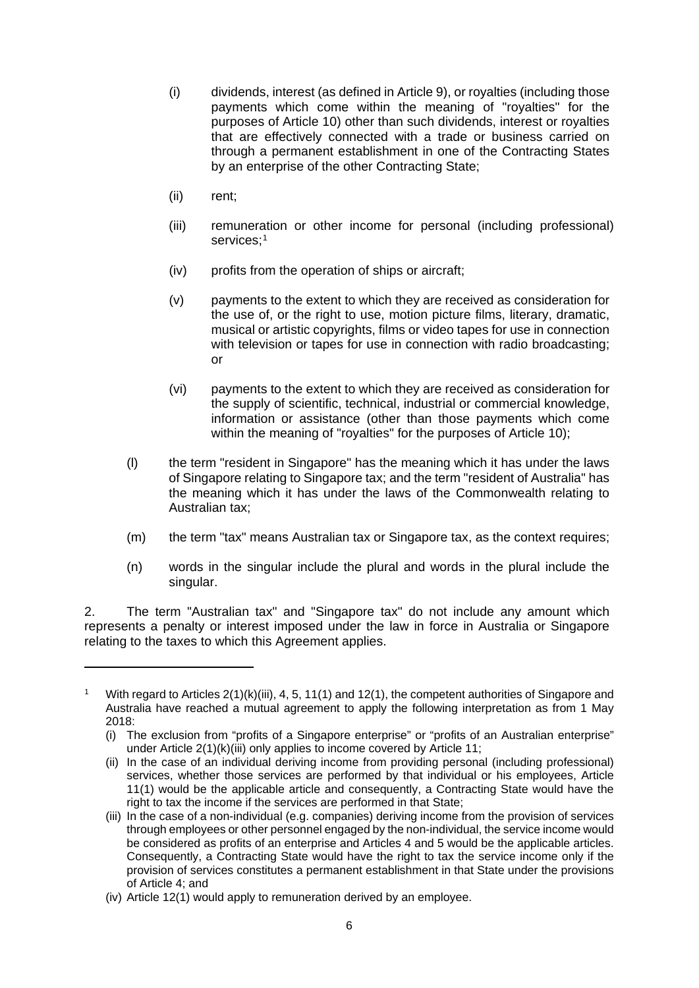- (i) dividends, interest (as defined in Article 9), or royalties (including those payments which come within the meaning of "royalties" for the purposes of Article 10) other than such dividends, interest or royalties that are effectively connected with a trade or business carried on through a permanent establishment in one of the Contracting States by an enterprise of the other Contracting State;
- (ii) rent;
- (iii) remuneration or other income for personal (including professional) services;<sup>[1](#page-5-0)</sup>
- (iv) profits from the operation of ships or aircraft;
- (v) payments to the extent to which they are received as consideration for the use of, or the right to use, motion picture films, literary, dramatic, musical or artistic copyrights, films or video tapes for use in connection with television or tapes for use in connection with radio broadcasting; or
- (vi) payments to the extent to which they are received as consideration for the supply of scientific, technical, industrial or commercial knowledge, information or assistance (other than those payments which come within the meaning of "royalties" for the purposes of Article 10);
- (l) the term "resident in Singapore" has the meaning which it has under the laws of Singapore relating to Singapore tax; and the term "resident of Australia" has the meaning which it has under the laws of the Commonwealth relating to Australian tax;
- (m) the term "tax" means Australian tax or Singapore tax, as the context requires;
- (n) words in the singular include the plural and words in the plural include the singular.

2. The term "Australian tax" and "Singapore tax" do not include any amount which represents a penalty or interest imposed under the law in force in Australia or Singapore relating to the taxes to which this Agreement applies.

<span id="page-5-0"></span><sup>&</sup>lt;sup>1</sup> With regard to Articles  $2(1)(k)(iii)$ , 4, 5, 11(1) and 12(1), the competent authorities of Singapore and Australia have reached a mutual agreement to apply the following interpretation as from 1 May 2018:

<sup>(</sup>i) The exclusion from "profits of a Singapore enterprise" or "profits of an Australian enterprise" under Article 2(1)(k)(iii) only applies to income covered by Article 11;

<sup>(</sup>ii) In the case of an individual deriving income from providing personal (including professional) services, whether those services are performed by that individual or his employees, Article 11(1) would be the applicable article and consequently, a Contracting State would have the right to tax the income if the services are performed in that State;

<sup>(</sup>iii) In the case of a non-individual (e.g. companies) deriving income from the provision of services through employees or other personnel engaged by the non-individual, the service income would be considered as profits of an enterprise and Articles 4 and 5 would be the applicable articles. Consequently, a Contracting State would have the right to tax the service income only if the provision of services constitutes a permanent establishment in that State under the provisions of Article 4; and

<sup>(</sup>iv) Article 12(1) would apply to remuneration derived by an employee.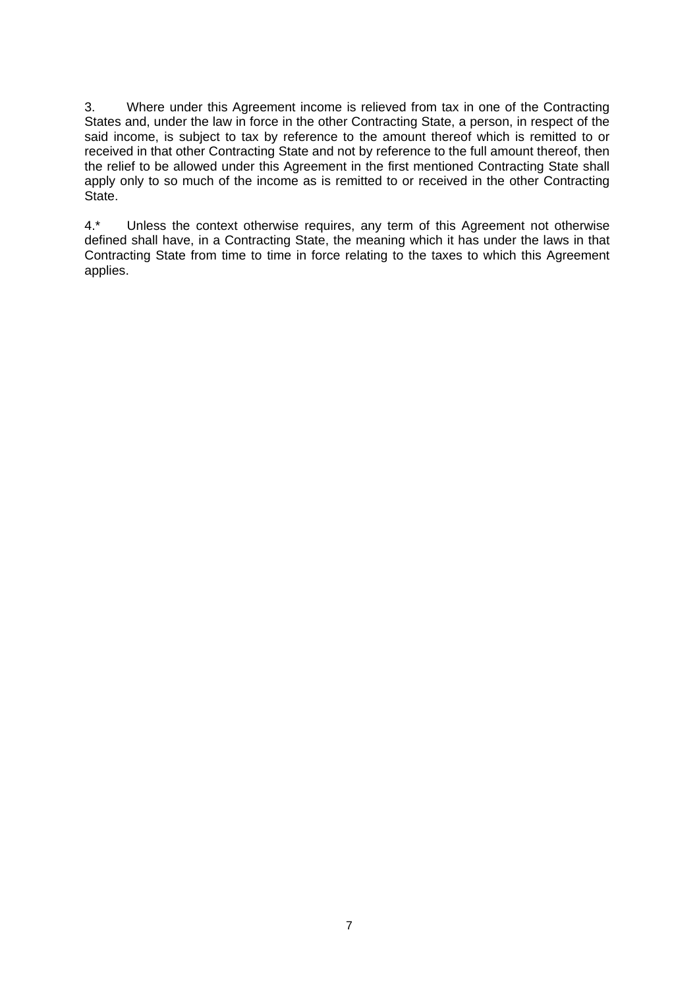3. Where under this Agreement income is relieved from tax in one of the Contracting States and, under the law in force in the other Contracting State, a person, in respect of the said income, is subject to tax by reference to the amount thereof which is remitted to or received in that other Contracting State and not by reference to the full amount thereof, then the relief to be allowed under this Agreement in the first mentioned Contracting State shall apply only to so much of the income as is remitted to or received in the other Contracting State.

4.\* Unless the context otherwise requires, any term of this Agreement not otherwise defined shall have, in a Contracting State, the meaning which it has under the laws in that Contracting State from time to time in force relating to the taxes to which this Agreement applies.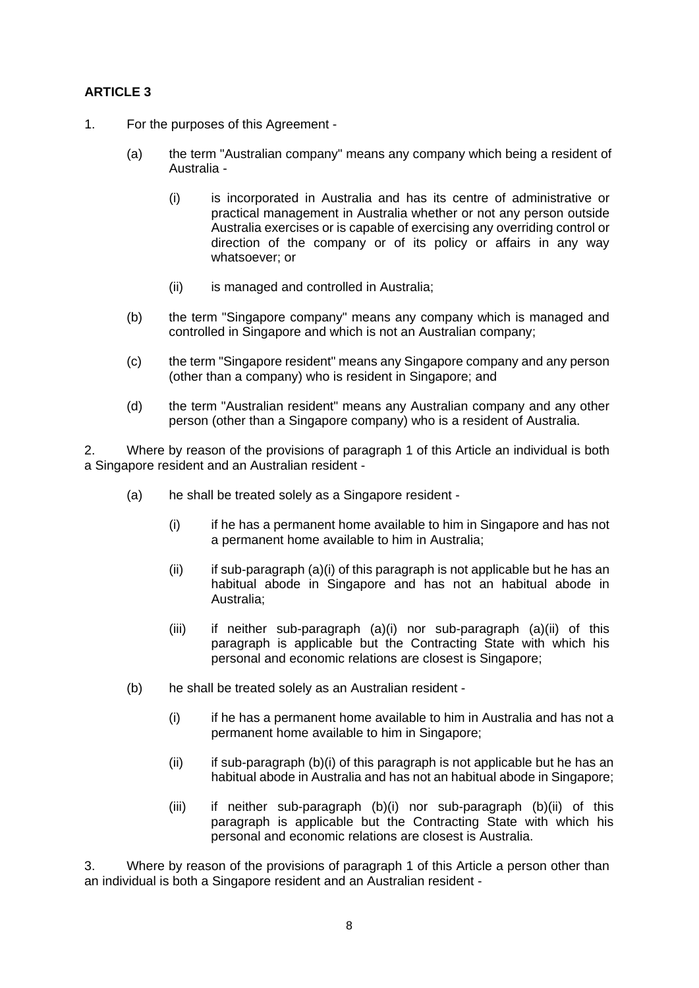- 1. For the purposes of this Agreement
	- (a) the term "Australian company" means any company which being a resident of Australia -
		- (i) is incorporated in Australia and has its centre of administrative or practical management in Australia whether or not any person outside Australia exercises or is capable of exercising any overriding control or direction of the company or of its policy or affairs in any way whatsoever; or
		- (ii) is managed and controlled in Australia;
	- (b) the term "Singapore company" means any company which is managed and controlled in Singapore and which is not an Australian company;
	- (c) the term "Singapore resident" means any Singapore company and any person (other than a company) who is resident in Singapore; and
	- (d) the term "Australian resident" means any Australian company and any other person (other than a Singapore company) who is a resident of Australia.

2. Where by reason of the provisions of paragraph 1 of this Article an individual is both a Singapore resident and an Australian resident -

- (a) he shall be treated solely as a Singapore resident
	- (i) if he has a permanent home available to him in Singapore and has not a permanent home available to him in Australia;
	- $(iii)$  if sub-paragraph  $(a)(i)$  of this paragraph is not applicable but he has an habitual abode in Singapore and has not an habitual abode in Australia;
	- (iii) if neither sub-paragraph (a)(i) nor sub-paragraph (a)(ii) of this paragraph is applicable but the Contracting State with which his personal and economic relations are closest is Singapore;
- (b) he shall be treated solely as an Australian resident
	- (i) if he has a permanent home available to him in Australia and has not a permanent home available to him in Singapore;
	- $(iii)$  if sub-paragraph  $(b)(i)$  of this paragraph is not applicable but he has an habitual abode in Australia and has not an habitual abode in Singapore;
	- (iii) if neither sub-paragraph (b)(i) nor sub-paragraph (b)(ii) of this paragraph is applicable but the Contracting State with which his personal and economic relations are closest is Australia.

3. Where by reason of the provisions of paragraph 1 of this Article a person other than an individual is both a Singapore resident and an Australian resident -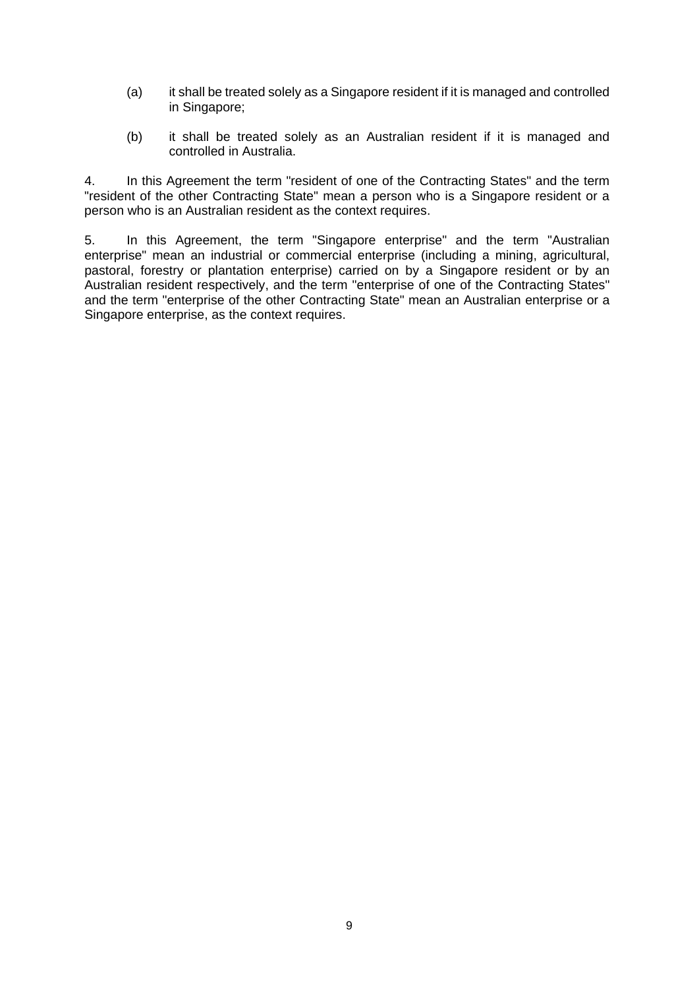- (a) it shall be treated solely as a Singapore resident if it is managed and controlled in Singapore;
- (b) it shall be treated solely as an Australian resident if it is managed and controlled in Australia.

4. In this Agreement the term "resident of one of the Contracting States" and the term "resident of the other Contracting State" mean a person who is a Singapore resident or a person who is an Australian resident as the context requires.

5. In this Agreement, the term "Singapore enterprise" and the term "Australian enterprise" mean an industrial or commercial enterprise (including a mining, agricultural, pastoral, forestry or plantation enterprise) carried on by a Singapore resident or by an Australian resident respectively, and the term "enterprise of one of the Contracting States" and the term "enterprise of the other Contracting State" mean an Australian enterprise or a Singapore enterprise, as the context requires.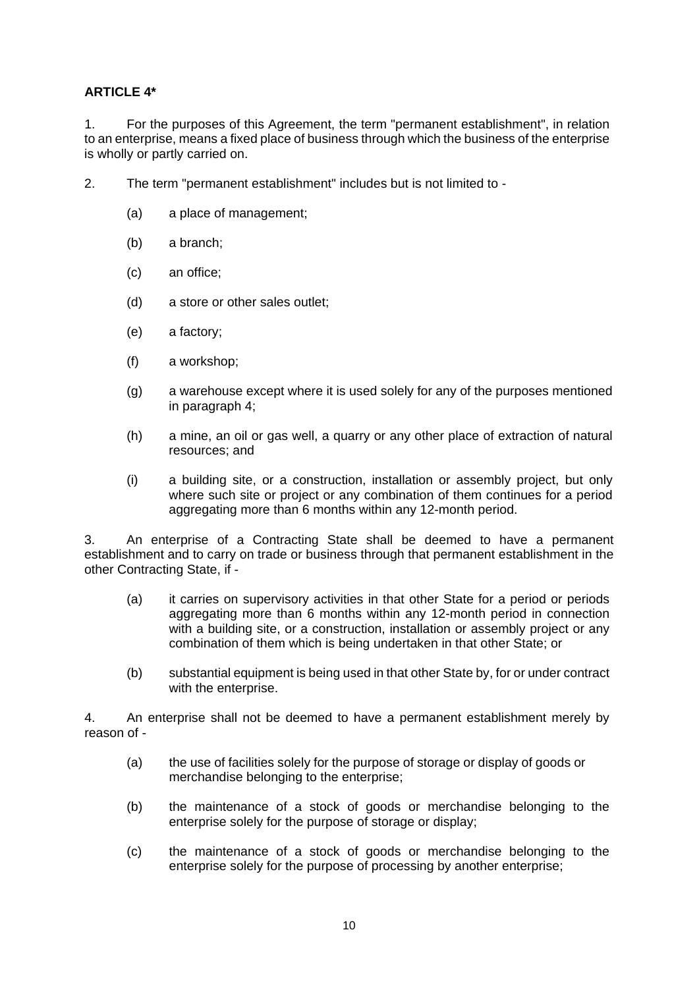## **ARTICLE 4\***

1. For the purposes of this Agreement, the term "permanent establishment", in relation to an enterprise, means a fixed place of business through which the business of the enterprise is wholly or partly carried on.

- 2. The term "permanent establishment" includes but is not limited to
	- (a) a place of management;
	- (b) a branch;
	- (c) an office;
	- (d) a store or other sales outlet;
	- (e) a factory;
	- (f) a workshop;
	- (g) a warehouse except where it is used solely for any of the purposes mentioned in paragraph 4;
	- (h) a mine, an oil or gas well, a quarry or any other place of extraction of natural resources; and
	- (i) a building site, or a construction, installation or assembly project, but only where such site or project or any combination of them continues for a period aggregating more than 6 months within any 12-month period.

3. An enterprise of a Contracting State shall be deemed to have a permanent establishment and to carry on trade or business through that permanent establishment in the other Contracting State, if -

- (a) it carries on supervisory activities in that other State for a period or periods aggregating more than 6 months within any 12-month period in connection with a building site, or a construction, installation or assembly project or any combination of them which is being undertaken in that other State; or
- (b) substantial equipment is being used in that other State by, for or under contract with the enterprise.

4. An enterprise shall not be deemed to have a permanent establishment merely by reason of -

- (a) the use of facilities solely for the purpose of storage or display of goods or merchandise belonging to the enterprise;
- (b) the maintenance of a stock of goods or merchandise belonging to the enterprise solely for the purpose of storage or display;
- (c) the maintenance of a stock of goods or merchandise belonging to the enterprise solely for the purpose of processing by another enterprise;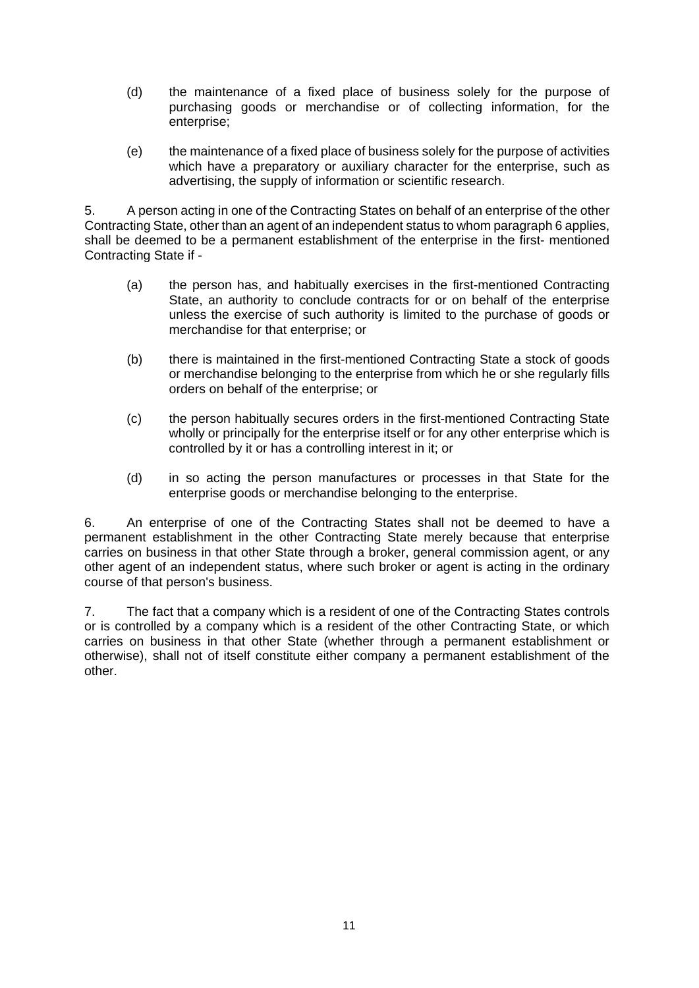- (d) the maintenance of a fixed place of business solely for the purpose of purchasing goods or merchandise or of collecting information, for the enterprise;
- (e) the maintenance of a fixed place of business solely for the purpose of activities which have a preparatory or auxiliary character for the enterprise, such as advertising, the supply of information or scientific research.

5. A person acting in one of the Contracting States on behalf of an enterprise of the other Contracting State, other than an agent of an independent status to whom paragraph 6 applies, shall be deemed to be a permanent establishment of the enterprise in the first- mentioned Contracting State if -

- (a) the person has, and habitually exercises in the first-mentioned Contracting State, an authority to conclude contracts for or on behalf of the enterprise unless the exercise of such authority is limited to the purchase of goods or merchandise for that enterprise; or
- (b) there is maintained in the first-mentioned Contracting State a stock of goods or merchandise belonging to the enterprise from which he or she regularly fills orders on behalf of the enterprise; or
- (c) the person habitually secures orders in the first-mentioned Contracting State wholly or principally for the enterprise itself or for any other enterprise which is controlled by it or has a controlling interest in it; or
- (d) in so acting the person manufactures or processes in that State for the enterprise goods or merchandise belonging to the enterprise.

6. An enterprise of one of the Contracting States shall not be deemed to have a permanent establishment in the other Contracting State merely because that enterprise carries on business in that other State through a broker, general commission agent, or any other agent of an independent status, where such broker or agent is acting in the ordinary course of that person's business.

7. The fact that a company which is a resident of one of the Contracting States controls or is controlled by a company which is a resident of the other Contracting State, or which carries on business in that other State (whether through a permanent establishment or otherwise), shall not of itself constitute either company a permanent establishment of the other.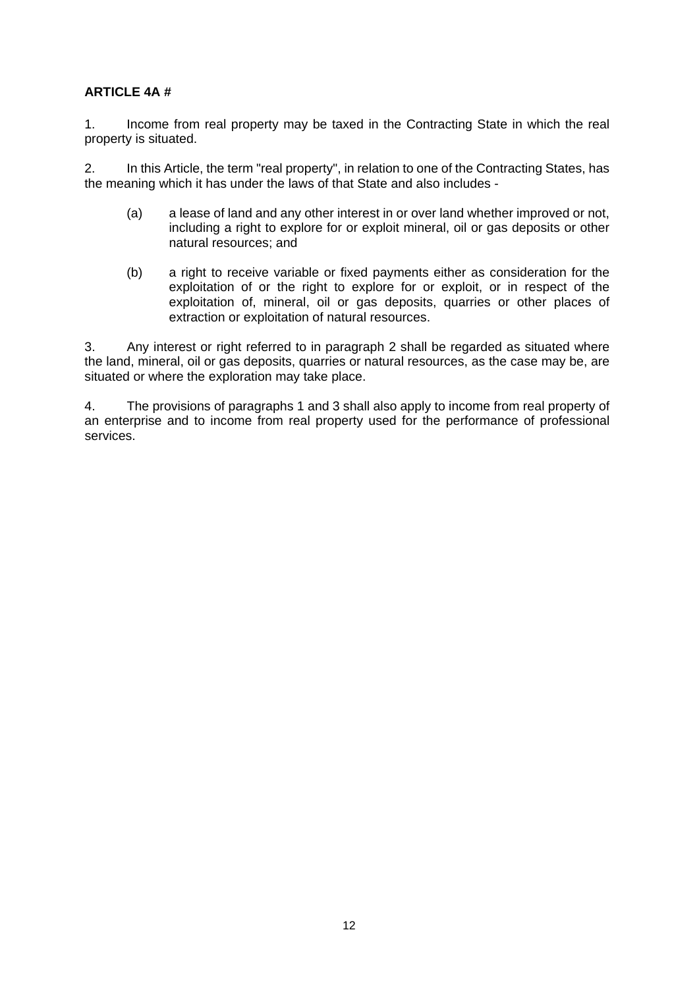#### **ARTICLE 4A #**

1. Income from real property may be taxed in the Contracting State in which the real property is situated.

2. In this Article, the term "real property", in relation to one of the Contracting States, has the meaning which it has under the laws of that State and also includes -

- (a) a lease of land and any other interest in or over land whether improved or not, including a right to explore for or exploit mineral, oil or gas deposits or other natural resources; and
- (b) a right to receive variable or fixed payments either as consideration for the exploitation of or the right to explore for or exploit, or in respect of the exploitation of, mineral, oil or gas deposits, quarries or other places of extraction or exploitation of natural resources.

3. Any interest or right referred to in paragraph 2 shall be regarded as situated where the land, mineral, oil or gas deposits, quarries or natural resources, as the case may be, are situated or where the exploration may take place.

4. The provisions of paragraphs 1 and 3 shall also apply to income from real property of an enterprise and to income from real property used for the performance of professional services.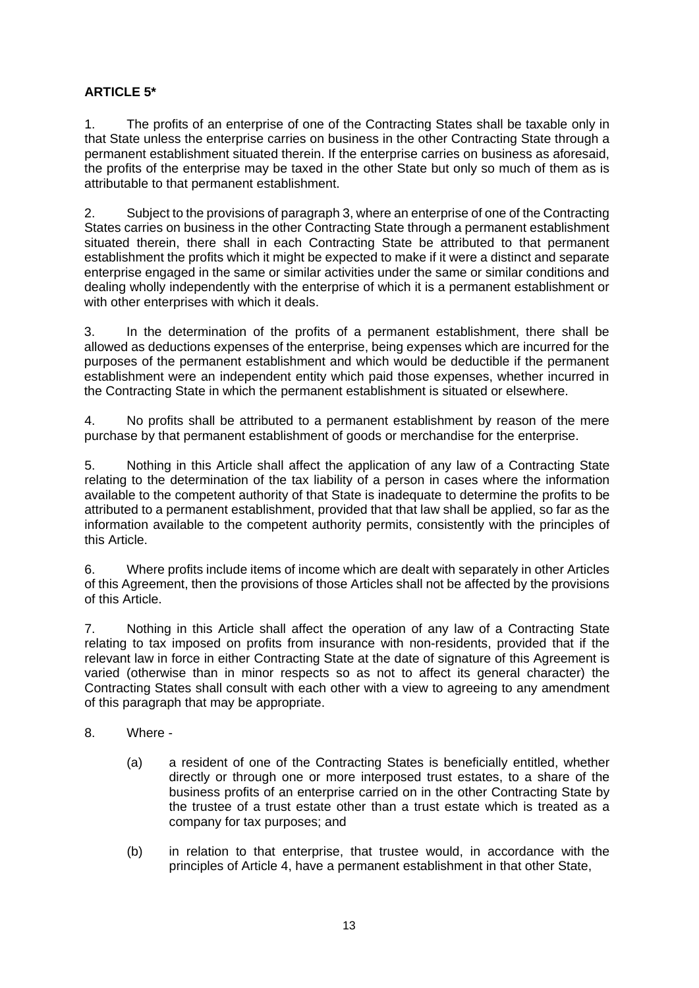## **ARTICLE 5\***

1. The profits of an enterprise of one of the Contracting States shall be taxable only in that State unless the enterprise carries on business in the other Contracting State through a permanent establishment situated therein. If the enterprise carries on business as aforesaid, the profits of the enterprise may be taxed in the other State but only so much of them as is attributable to that permanent establishment.

2. Subject to the provisions of paragraph 3, where an enterprise of one of the Contracting States carries on business in the other Contracting State through a permanent establishment situated therein, there shall in each Contracting State be attributed to that permanent establishment the profits which it might be expected to make if it were a distinct and separate enterprise engaged in the same or similar activities under the same or similar conditions and dealing wholly independently with the enterprise of which it is a permanent establishment or with other enterprises with which it deals.

3. In the determination of the profits of a permanent establishment, there shall be allowed as deductions expenses of the enterprise, being expenses which are incurred for the purposes of the permanent establishment and which would be deductible if the permanent establishment were an independent entity which paid those expenses, whether incurred in the Contracting State in which the permanent establishment is situated or elsewhere.

4. No profits shall be attributed to a permanent establishment by reason of the mere purchase by that permanent establishment of goods or merchandise for the enterprise.

5. Nothing in this Article shall affect the application of any law of a Contracting State relating to the determination of the tax liability of a person in cases where the information available to the competent authority of that State is inadequate to determine the profits to be attributed to a permanent establishment, provided that that law shall be applied, so far as the information available to the competent authority permits, consistently with the principles of this Article.

6. Where profits include items of income which are dealt with separately in other Articles of this Agreement, then the provisions of those Articles shall not be affected by the provisions of this Article.

7. Nothing in this Article shall affect the operation of any law of a Contracting State relating to tax imposed on profits from insurance with non-residents, provided that if the relevant law in force in either Contracting State at the date of signature of this Agreement is varied (otherwise than in minor respects so as not to affect its general character) the Contracting States shall consult with each other with a view to agreeing to any amendment of this paragraph that may be appropriate.

- 8. Where
	- (a) a resident of one of the Contracting States is beneficially entitled, whether directly or through one or more interposed trust estates, to a share of the business profits of an enterprise carried on in the other Contracting State by the trustee of a trust estate other than a trust estate which is treated as a company for tax purposes; and
	- (b) in relation to that enterprise, that trustee would, in accordance with the principles of Article 4, have a permanent establishment in that other State,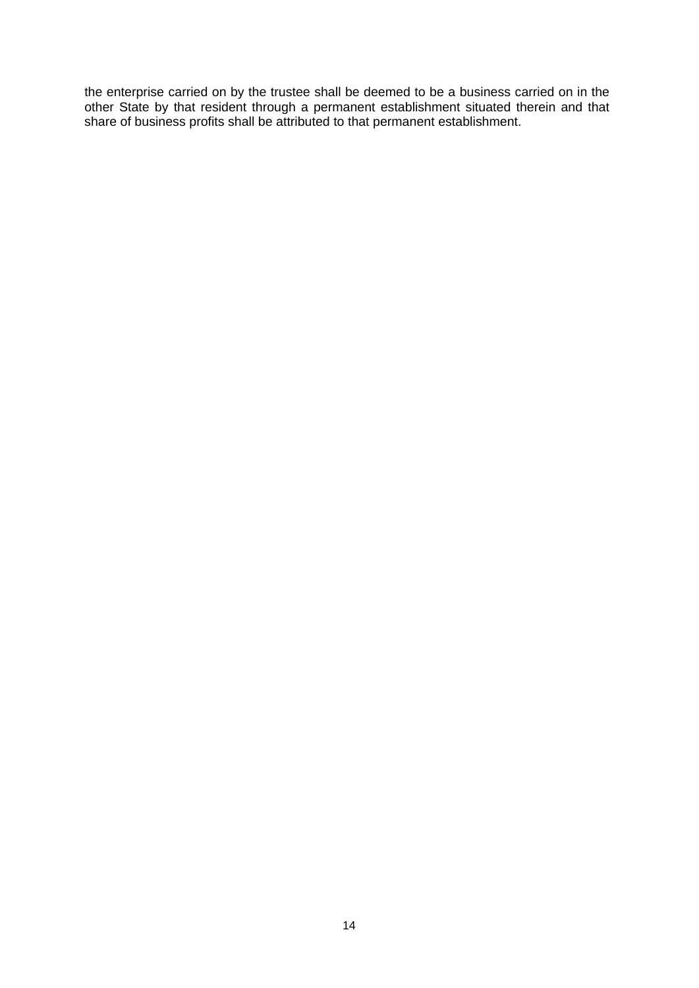the enterprise carried on by the trustee shall be deemed to be a business carried on in the other State by that resident through a permanent establishment situated therein and that share of business profits shall be attributed to that permanent establishment.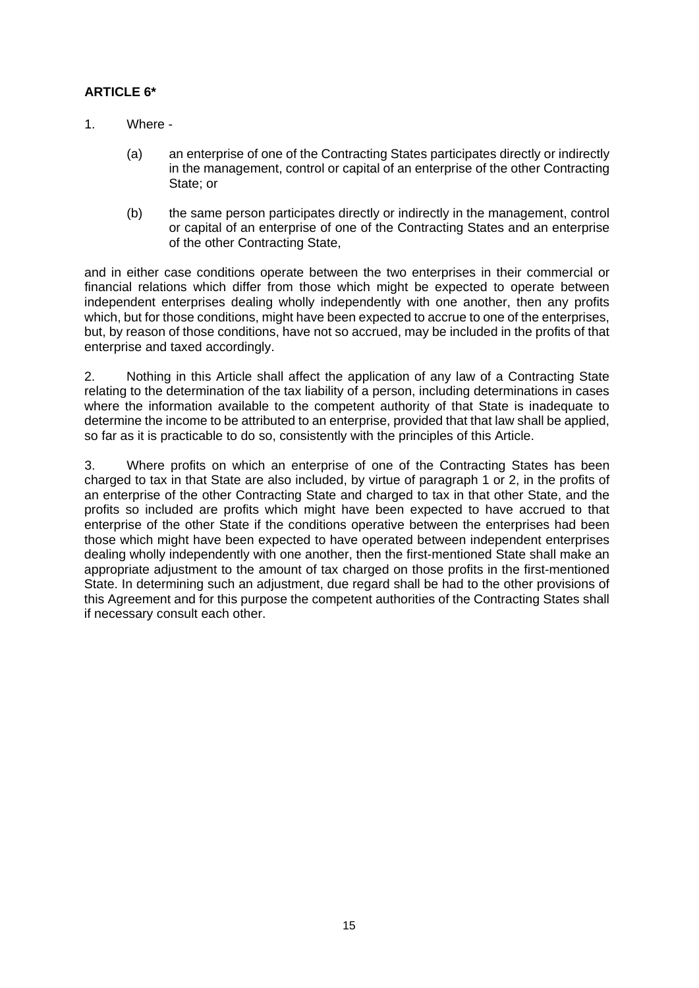## **ARTICLE 6\***

- 1. Where
	- (a) an enterprise of one of the Contracting States participates directly or indirectly in the management, control or capital of an enterprise of the other Contracting State; or
	- (b) the same person participates directly or indirectly in the management, control or capital of an enterprise of one of the Contracting States and an enterprise of the other Contracting State,

and in either case conditions operate between the two enterprises in their commercial or financial relations which differ from those which might be expected to operate between independent enterprises dealing wholly independently with one another, then any profits which, but for those conditions, might have been expected to accrue to one of the enterprises, but, by reason of those conditions, have not so accrued, may be included in the profits of that enterprise and taxed accordingly.

2. Nothing in this Article shall affect the application of any law of a Contracting State relating to the determination of the tax liability of a person, including determinations in cases where the information available to the competent authority of that State is inadequate to determine the income to be attributed to an enterprise, provided that that law shall be applied, so far as it is practicable to do so, consistently with the principles of this Article.

3. Where profits on which an enterprise of one of the Contracting States has been charged to tax in that State are also included, by virtue of paragraph 1 or 2, in the profits of an enterprise of the other Contracting State and charged to tax in that other State, and the profits so included are profits which might have been expected to have accrued to that enterprise of the other State if the conditions operative between the enterprises had been those which might have been expected to have operated between independent enterprises dealing wholly independently with one another, then the first-mentioned State shall make an appropriate adjustment to the amount of tax charged on those profits in the first-mentioned State. In determining such an adjustment, due regard shall be had to the other provisions of this Agreement and for this purpose the competent authorities of the Contracting States shall if necessary consult each other.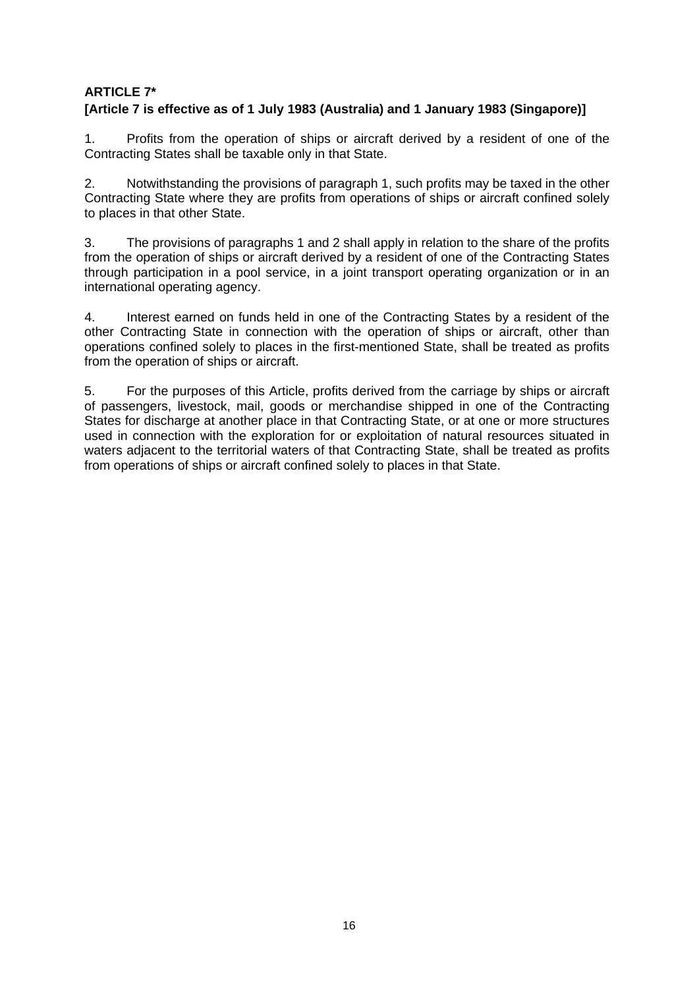## **ARTICLE 7\***

## **[Article 7 is effective as of 1 July 1983 (Australia) and 1 January 1983 (Singapore)]**

1. Profits from the operation of ships or aircraft derived by a resident of one of the Contracting States shall be taxable only in that State.

2. Notwithstanding the provisions of paragraph 1, such profits may be taxed in the other Contracting State where they are profits from operations of ships or aircraft confined solely to places in that other State.

3. The provisions of paragraphs 1 and 2 shall apply in relation to the share of the profits from the operation of ships or aircraft derived by a resident of one of the Contracting States through participation in a pool service, in a joint transport operating organization or in an international operating agency.

4. Interest earned on funds held in one of the Contracting States by a resident of the other Contracting State in connection with the operation of ships or aircraft, other than operations confined solely to places in the first-mentioned State, shall be treated as profits from the operation of ships or aircraft.

5. For the purposes of this Article, profits derived from the carriage by ships or aircraft of passengers, livestock, mail, goods or merchandise shipped in one of the Contracting States for discharge at another place in that Contracting State, or at one or more structures used in connection with the exploration for or exploitation of natural resources situated in waters adjacent to the territorial waters of that Contracting State, shall be treated as profits from operations of ships or aircraft confined solely to places in that State.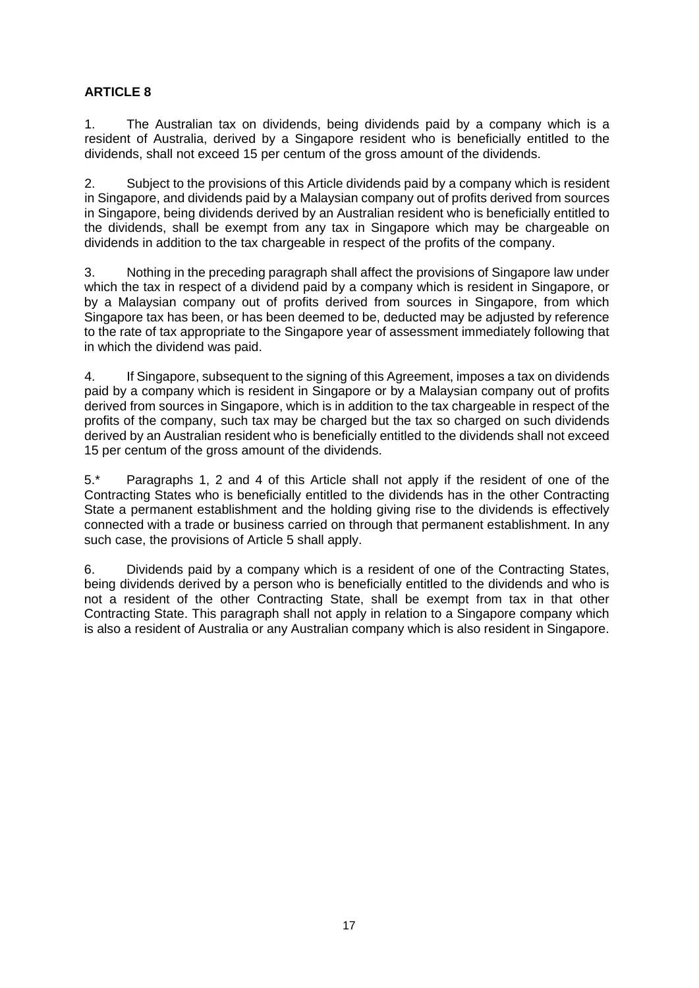1. The Australian tax on dividends, being dividends paid by a company which is a resident of Australia, derived by a Singapore resident who is beneficially entitled to the dividends, shall not exceed 15 per centum of the gross amount of the dividends.

2. Subject to the provisions of this Article dividends paid by a company which is resident in Singapore, and dividends paid by a Malaysian company out of profits derived from sources in Singapore, being dividends derived by an Australian resident who is beneficially entitled to the dividends, shall be exempt from any tax in Singapore which may be chargeable on dividends in addition to the tax chargeable in respect of the profits of the company.

3. Nothing in the preceding paragraph shall affect the provisions of Singapore law under which the tax in respect of a dividend paid by a company which is resident in Singapore, or by a Malaysian company out of profits derived from sources in Singapore, from which Singapore tax has been, or has been deemed to be, deducted may be adjusted by reference to the rate of tax appropriate to the Singapore year of assessment immediately following that in which the dividend was paid.

4. If Singapore, subsequent to the signing of this Agreement, imposes a tax on dividends paid by a company which is resident in Singapore or by a Malaysian company out of profits derived from sources in Singapore, which is in addition to the tax chargeable in respect of the profits of the company, such tax may be charged but the tax so charged on such dividends derived by an Australian resident who is beneficially entitled to the dividends shall not exceed 15 per centum of the gross amount of the dividends.

5.\* Paragraphs 1, 2 and 4 of this Article shall not apply if the resident of one of the Contracting States who is beneficially entitled to the dividends has in the other Contracting State a permanent establishment and the holding giving rise to the dividends is effectively connected with a trade or business carried on through that permanent establishment. In any such case, the provisions of Article 5 shall apply.

6. Dividends paid by a company which is a resident of one of the Contracting States, being dividends derived by a person who is beneficially entitled to the dividends and who is not a resident of the other Contracting State, shall be exempt from tax in that other Contracting State. This paragraph shall not apply in relation to a Singapore company which is also a resident of Australia or any Australian company which is also resident in Singapore.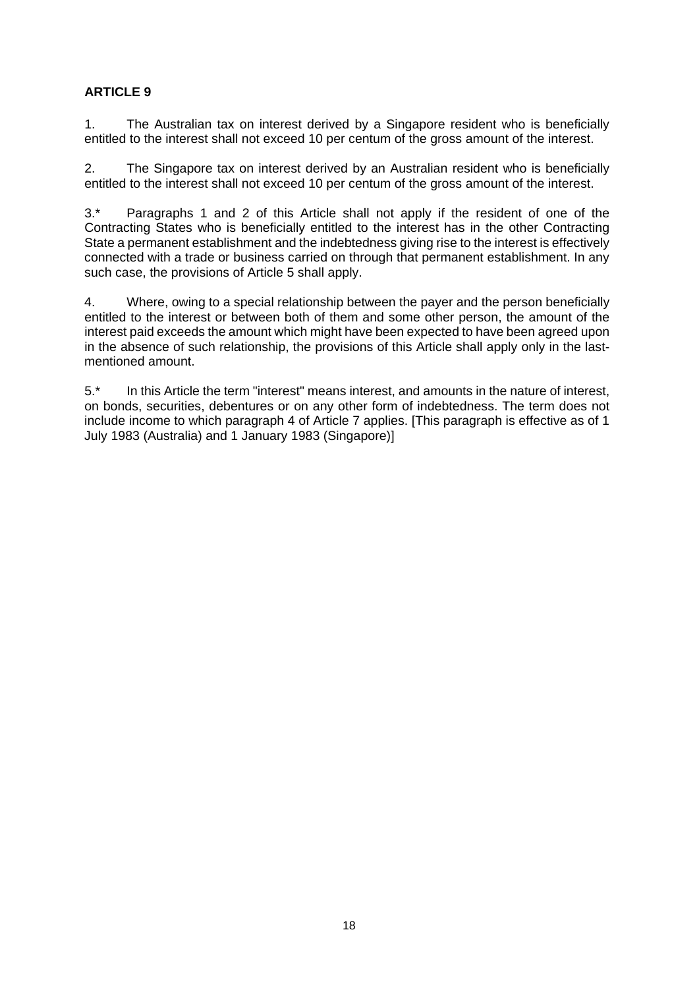1. The Australian tax on interest derived by a Singapore resident who is beneficially entitled to the interest shall not exceed 10 per centum of the gross amount of the interest.

2. The Singapore tax on interest derived by an Australian resident who is beneficially entitled to the interest shall not exceed 10 per centum of the gross amount of the interest.

3.\* Paragraphs 1 and 2 of this Article shall not apply if the resident of one of the Contracting States who is beneficially entitled to the interest has in the other Contracting State a permanent establishment and the indebtedness giving rise to the interest is effectively connected with a trade or business carried on through that permanent establishment. In any such case, the provisions of Article 5 shall apply.

4. Where, owing to a special relationship between the payer and the person beneficially entitled to the interest or between both of them and some other person, the amount of the interest paid exceeds the amount which might have been expected to have been agreed upon in the absence of such relationship, the provisions of this Article shall apply only in the lastmentioned amount.

5.\* In this Article the term "interest" means interest, and amounts in the nature of interest, on bonds, securities, debentures or on any other form of indebtedness. The term does not include income to which paragraph 4 of Article 7 applies. [This paragraph is effective as of 1 July 1983 (Australia) and 1 January 1983 (Singapore)]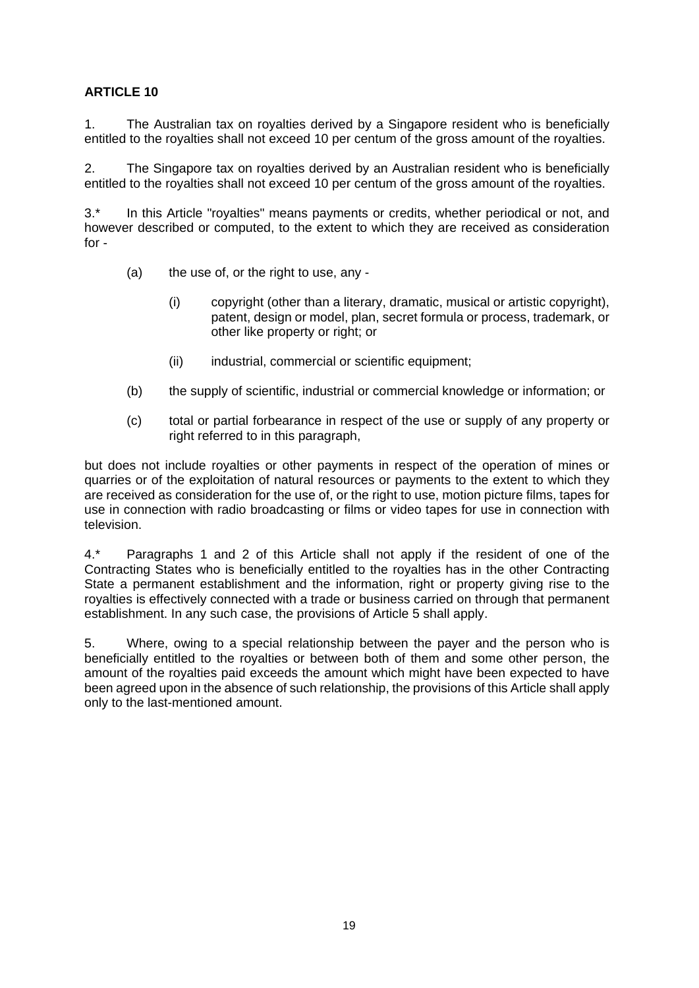1. The Australian tax on royalties derived by a Singapore resident who is beneficially entitled to the royalties shall not exceed 10 per centum of the gross amount of the royalties.

2. The Singapore tax on royalties derived by an Australian resident who is beneficially entitled to the royalties shall not exceed 10 per centum of the gross amount of the royalties.

3.\* In this Article "royalties" means payments or credits, whether periodical or not, and however described or computed, to the extent to which they are received as consideration for -

- (a) the use of, or the right to use, any
	- (i) copyright (other than a literary, dramatic, musical or artistic copyright), patent, design or model, plan, secret formula or process, trademark, or other like property or right; or
	- (ii) industrial, commercial or scientific equipment;
- (b) the supply of scientific, industrial or commercial knowledge or information; or
- (c) total or partial forbearance in respect of the use or supply of any property or right referred to in this paragraph,

but does not include royalties or other payments in respect of the operation of mines or quarries or of the exploitation of natural resources or payments to the extent to which they are received as consideration for the use of, or the right to use, motion picture films, tapes for use in connection with radio broadcasting or films or video tapes for use in connection with television.

4.\* Paragraphs 1 and 2 of this Article shall not apply if the resident of one of the Contracting States who is beneficially entitled to the royalties has in the other Contracting State a permanent establishment and the information, right or property giving rise to the royalties is effectively connected with a trade or business carried on through that permanent establishment. In any such case, the provisions of Article 5 shall apply.

5. Where, owing to a special relationship between the payer and the person who is beneficially entitled to the royalties or between both of them and some other person, the amount of the royalties paid exceeds the amount which might have been expected to have been agreed upon in the absence of such relationship, the provisions of this Article shall apply only to the last-mentioned amount.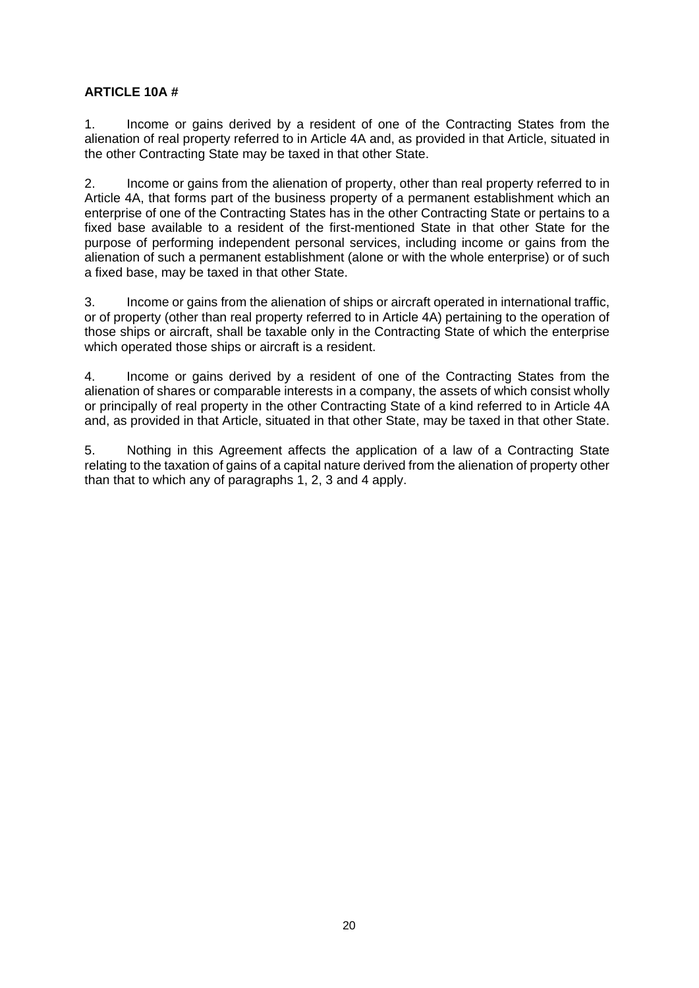### **ARTICLE 10A #**

1. Income or gains derived by a resident of one of the Contracting States from the alienation of real property referred to in Article 4A and, as provided in that Article, situated in the other Contracting State may be taxed in that other State.

2. Income or gains from the alienation of property, other than real property referred to in Article 4A, that forms part of the business property of a permanent establishment which an enterprise of one of the Contracting States has in the other Contracting State or pertains to a fixed base available to a resident of the first-mentioned State in that other State for the purpose of performing independent personal services, including income or gains from the alienation of such a permanent establishment (alone or with the whole enterprise) or of such a fixed base, may be taxed in that other State.

3. Income or gains from the alienation of ships or aircraft operated in international traffic, or of property (other than real property referred to in Article 4A) pertaining to the operation of those ships or aircraft, shall be taxable only in the Contracting State of which the enterprise which operated those ships or aircraft is a resident.

4. Income or gains derived by a resident of one of the Contracting States from the alienation of shares or comparable interests in a company, the assets of which consist wholly or principally of real property in the other Contracting State of a kind referred to in Article 4A and, as provided in that Article, situated in that other State, may be taxed in that other State.

5. Nothing in this Agreement affects the application of a law of a Contracting State relating to the taxation of gains of a capital nature derived from the alienation of property other than that to which any of paragraphs 1, 2, 3 and 4 apply.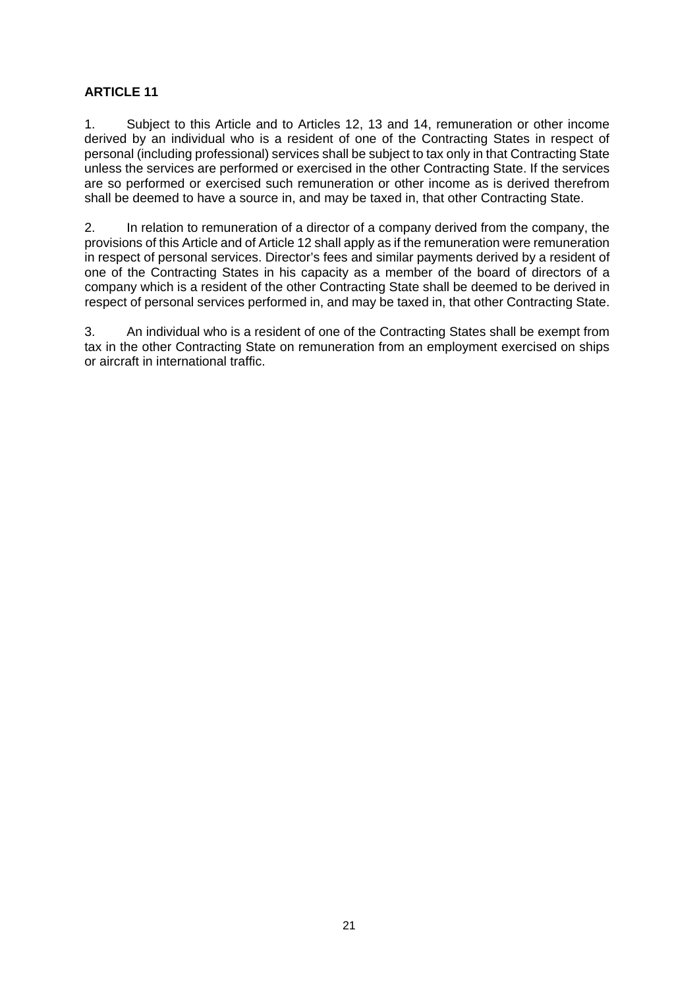1. Subject to this Article and to Articles 12, 13 and 14, remuneration or other income derived by an individual who is a resident of one of the Contracting States in respect of personal (including professional) services shall be subject to tax only in that Contracting State unless the services are performed or exercised in the other Contracting State. If the services are so performed or exercised such remuneration or other income as is derived therefrom shall be deemed to have a source in, and may be taxed in, that other Contracting State.

2. In relation to remuneration of a director of a company derived from the company, the provisions of this Article and of Article 12 shall apply as if the remuneration were remuneration in respect of personal services. Director's fees and similar payments derived by a resident of one of the Contracting States in his capacity as a member of the board of directors of a company which is a resident of the other Contracting State shall be deemed to be derived in respect of personal services performed in, and may be taxed in, that other Contracting State.

3. An individual who is a resident of one of the Contracting States shall be exempt from tax in the other Contracting State on remuneration from an employment exercised on ships or aircraft in international traffic.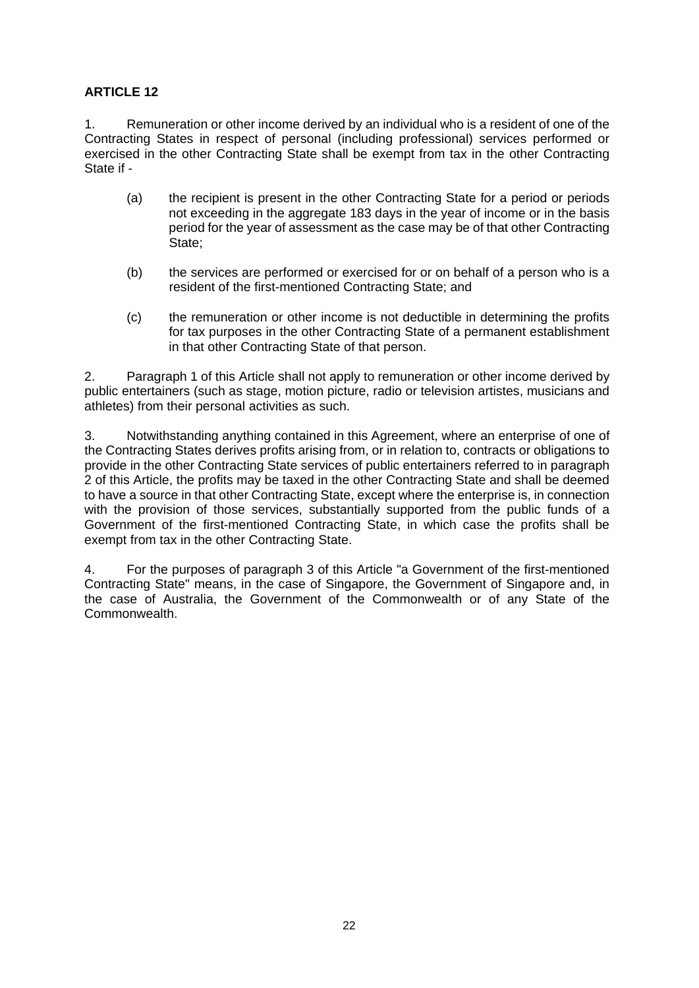1. Remuneration or other income derived by an individual who is a resident of one of the Contracting States in respect of personal (including professional) services performed or exercised in the other Contracting State shall be exempt from tax in the other Contracting State if -

- (a) the recipient is present in the other Contracting State for a period or periods not exceeding in the aggregate 183 days in the year of income or in the basis period for the year of assessment as the case may be of that other Contracting State;
- (b) the services are performed or exercised for or on behalf of a person who is a resident of the first-mentioned Contracting State; and
- (c) the remuneration or other income is not deductible in determining the profits for tax purposes in the other Contracting State of a permanent establishment in that other Contracting State of that person.

2. Paragraph 1 of this Article shall not apply to remuneration or other income derived by public entertainers (such as stage, motion picture, radio or television artistes, musicians and athletes) from their personal activities as such.

3. Notwithstanding anything contained in this Agreement, where an enterprise of one of the Contracting States derives profits arising from, or in relation to, contracts or obligations to provide in the other Contracting State services of public entertainers referred to in paragraph 2 of this Article, the profits may be taxed in the other Contracting State and shall be deemed to have a source in that other Contracting State, except where the enterprise is, in connection with the provision of those services, substantially supported from the public funds of a Government of the first-mentioned Contracting State, in which case the profits shall be exempt from tax in the other Contracting State.

4. For the purposes of paragraph 3 of this Article "a Government of the first-mentioned Contracting State" means, in the case of Singapore, the Government of Singapore and, in the case of Australia, the Government of the Commonwealth or of any State of the Commonwealth.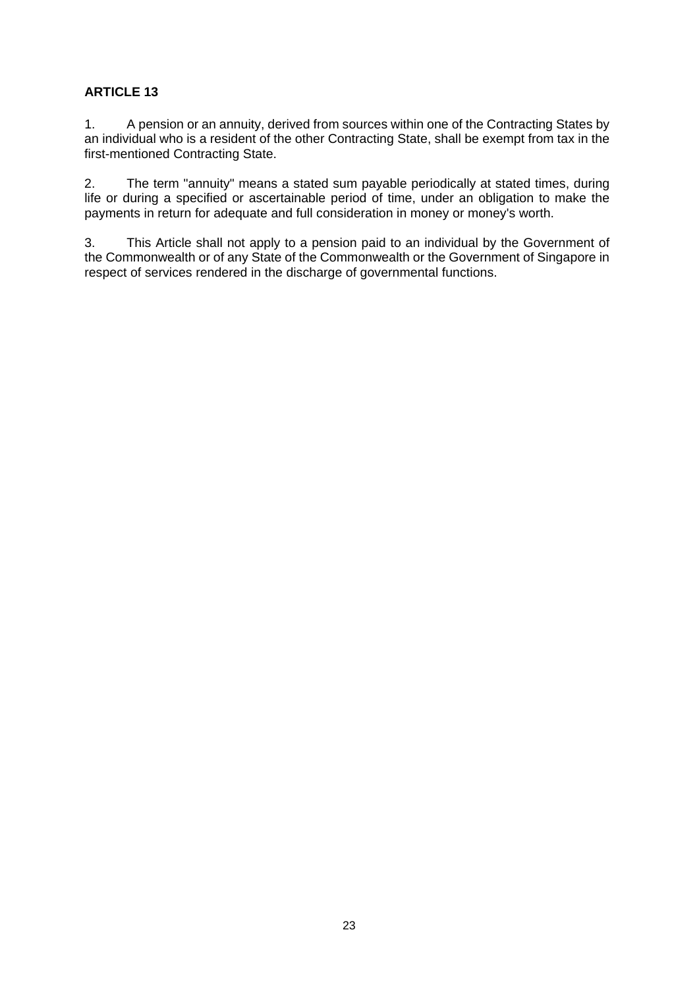1. A pension or an annuity, derived from sources within one of the Contracting States by an individual who is a resident of the other Contracting State, shall be exempt from tax in the first-mentioned Contracting State.

2. The term "annuity" means a stated sum payable periodically at stated times, during life or during a specified or ascertainable period of time, under an obligation to make the payments in return for adequate and full consideration in money or money's worth.

3. This Article shall not apply to a pension paid to an individual by the Government of the Commonwealth or of any State of the Commonwealth or the Government of Singapore in respect of services rendered in the discharge of governmental functions.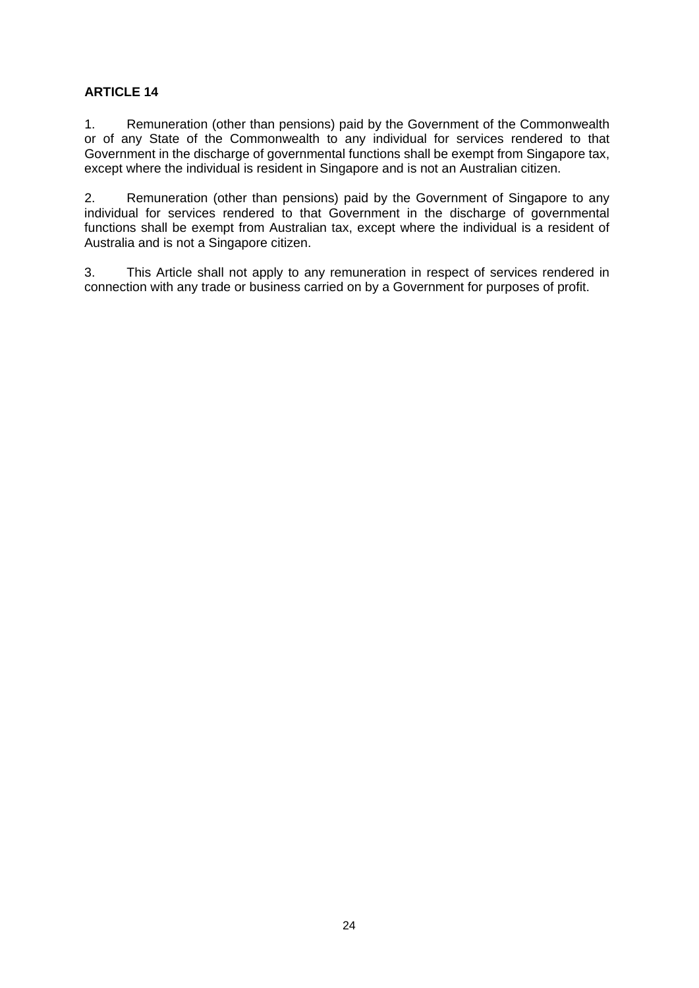1. Remuneration (other than pensions) paid by the Government of the Commonwealth or of any State of the Commonwealth to any individual for services rendered to that Government in the discharge of governmental functions shall be exempt from Singapore tax, except where the individual is resident in Singapore and is not an Australian citizen.

2. Remuneration (other than pensions) paid by the Government of Singapore to any individual for services rendered to that Government in the discharge of governmental functions shall be exempt from Australian tax, except where the individual is a resident of Australia and is not a Singapore citizen.

3. This Article shall not apply to any remuneration in respect of services rendered in connection with any trade or business carried on by a Government for purposes of profit.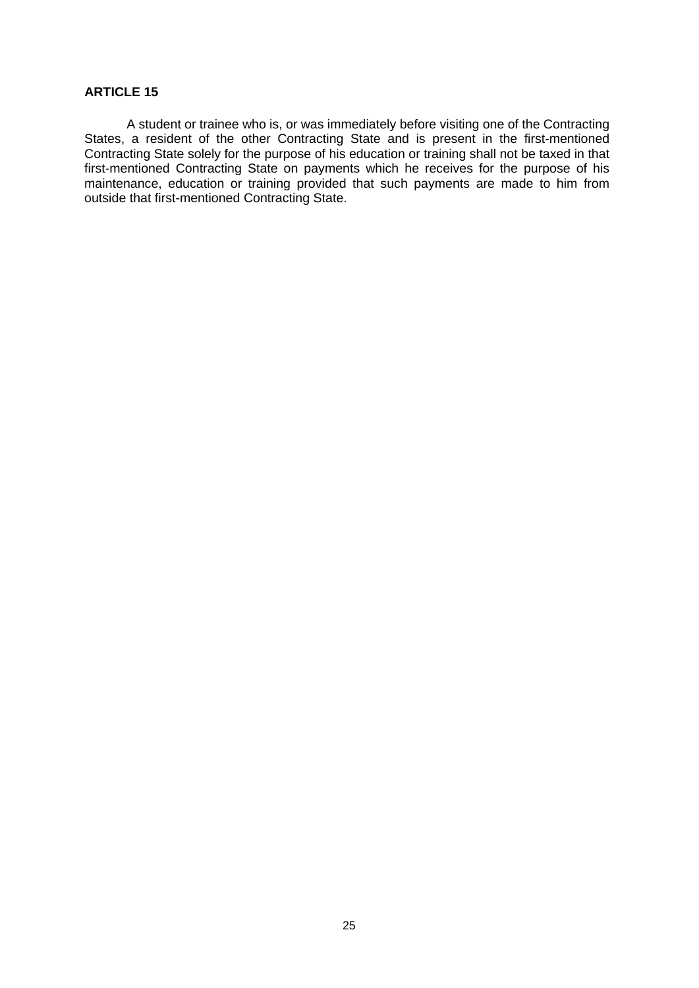A student or trainee who is, or was immediately before visiting one of the Contracting States, a resident of the other Contracting State and is present in the first-mentioned Contracting State solely for the purpose of his education or training shall not be taxed in that first-mentioned Contracting State on payments which he receives for the purpose of his maintenance, education or training provided that such payments are made to him from outside that first-mentioned Contracting State.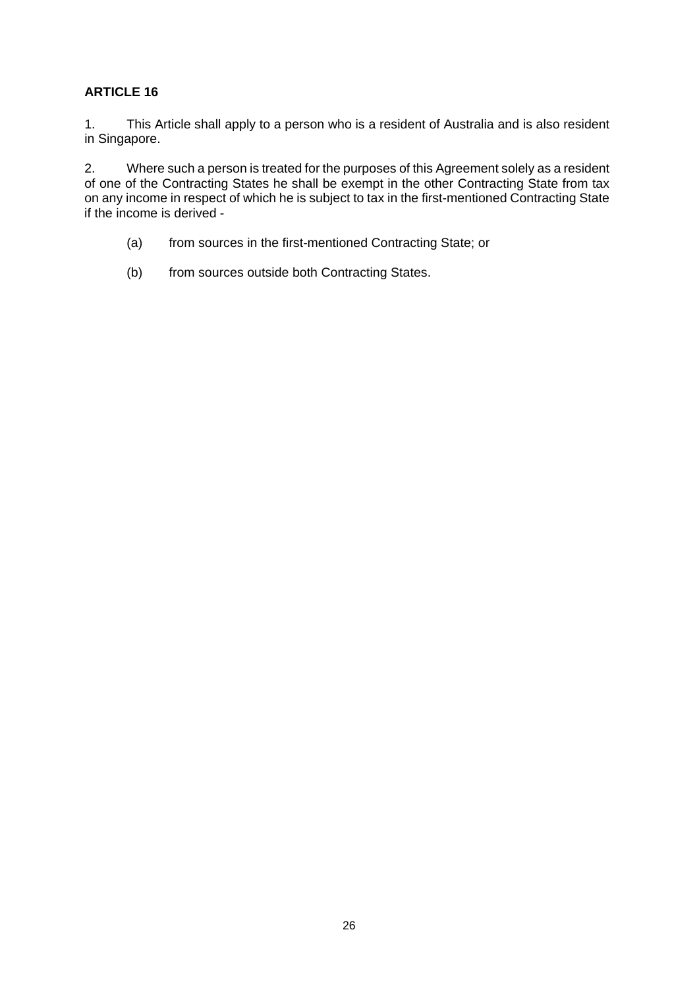1. This Article shall apply to a person who is a resident of Australia and is also resident in Singapore.

2. Where such a person is treated for the purposes of this Agreement solely as a resident of one of the Contracting States he shall be exempt in the other Contracting State from tax on any income in respect of which he is subject to tax in the first-mentioned Contracting State if the income is derived -

- (a) from sources in the first-mentioned Contracting State; or
- (b) from sources outside both Contracting States.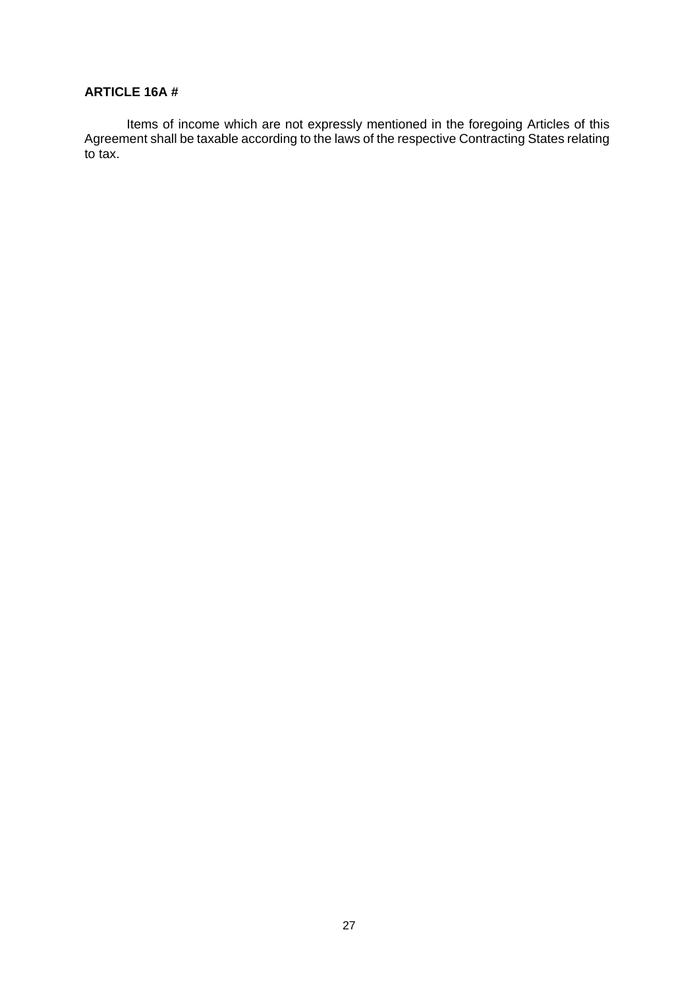#### **ARTICLE 16A #**

Items of income which are not expressly mentioned in the foregoing Articles of this Agreement shall be taxable according to the laws of the respective Contracting States relating to tax.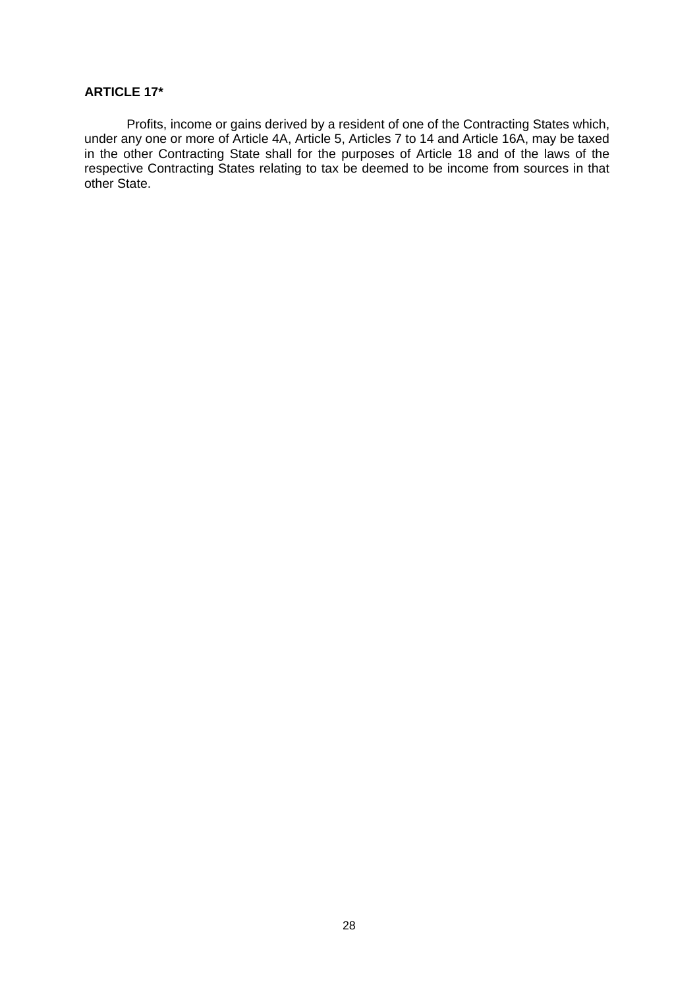#### **ARTICLE 17\***

Profits, income or gains derived by a resident of one of the Contracting States which, under any one or more of Article 4A, Article 5, Articles 7 to 14 and Article 16A, may be taxed in the other Contracting State shall for the purposes of Article 18 and of the laws of the respective Contracting States relating to tax be deemed to be income from sources in that other State.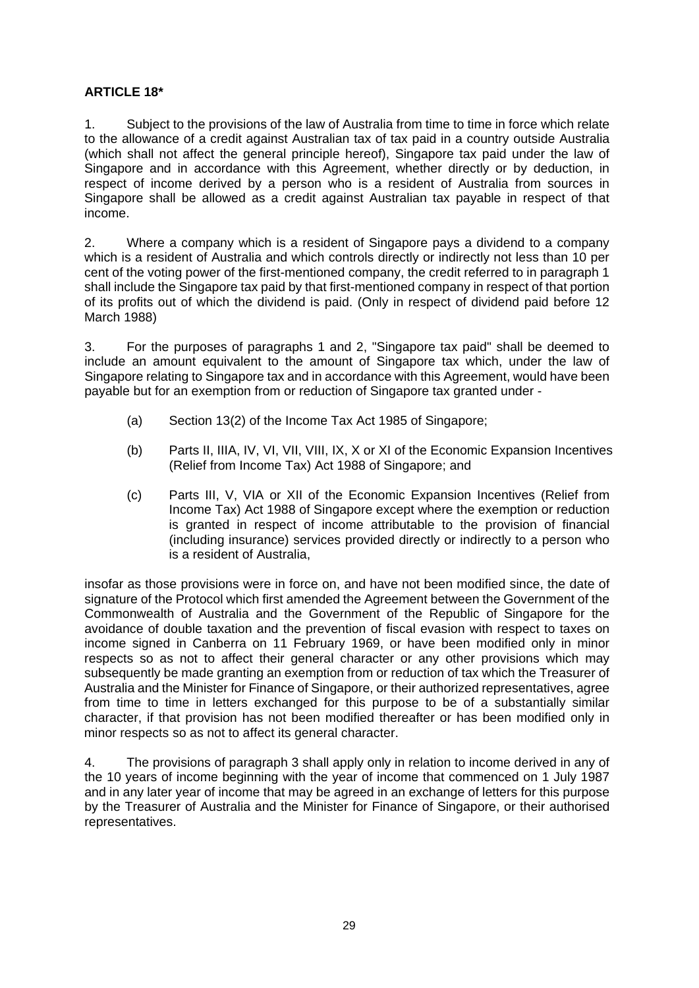### **ARTICLE 18\***

1. Subject to the provisions of the law of Australia from time to time in force which relate to the allowance of a credit against Australian tax of tax paid in a country outside Australia (which shall not affect the general principle hereof), Singapore tax paid under the law of Singapore and in accordance with this Agreement, whether directly or by deduction, in respect of income derived by a person who is a resident of Australia from sources in Singapore shall be allowed as a credit against Australian tax payable in respect of that income.

2. Where a company which is a resident of Singapore pays a dividend to a company which is a resident of Australia and which controls directly or indirectly not less than 10 per cent of the voting power of the first-mentioned company, the credit referred to in paragraph 1 shall include the Singapore tax paid by that first-mentioned company in respect of that portion of its profits out of which the dividend is paid. (Only in respect of dividend paid before 12 March 1988)

3. For the purposes of paragraphs 1 and 2, "Singapore tax paid" shall be deemed to include an amount equivalent to the amount of Singapore tax which, under the law of Singapore relating to Singapore tax and in accordance with this Agreement, would have been payable but for an exemption from or reduction of Singapore tax granted under -

- (a) Section 13(2) of the Income Tax Act 1985 of Singapore;
- (b) Parts II, IIIA, IV, VI, VII, VIII, IX, X or XI of the Economic Expansion Incentives (Relief from Income Tax) Act 1988 of Singapore; and
- (c) Parts III, V, VIA or XII of the Economic Expansion Incentives (Relief from Income Tax) Act 1988 of Singapore except where the exemption or reduction is granted in respect of income attributable to the provision of financial (including insurance) services provided directly or indirectly to a person who is a resident of Australia,

insofar as those provisions were in force on, and have not been modified since, the date of signature of the Protocol which first amended the Agreement between the Government of the Commonwealth of Australia and the Government of the Republic of Singapore for the avoidance of double taxation and the prevention of fiscal evasion with respect to taxes on income signed in Canberra on 11 February 1969, or have been modified only in minor respects so as not to affect their general character or any other provisions which may subsequently be made granting an exemption from or reduction of tax which the Treasurer of Australia and the Minister for Finance of Singapore, or their authorized representatives, agree from time to time in letters exchanged for this purpose to be of a substantially similar character, if that provision has not been modified thereafter or has been modified only in minor respects so as not to affect its general character.

4. The provisions of paragraph 3 shall apply only in relation to income derived in any of the 10 years of income beginning with the year of income that commenced on 1 July 1987 and in any later year of income that may be agreed in an exchange of letters for this purpose by the Treasurer of Australia and the Minister for Finance of Singapore, or their authorised representatives.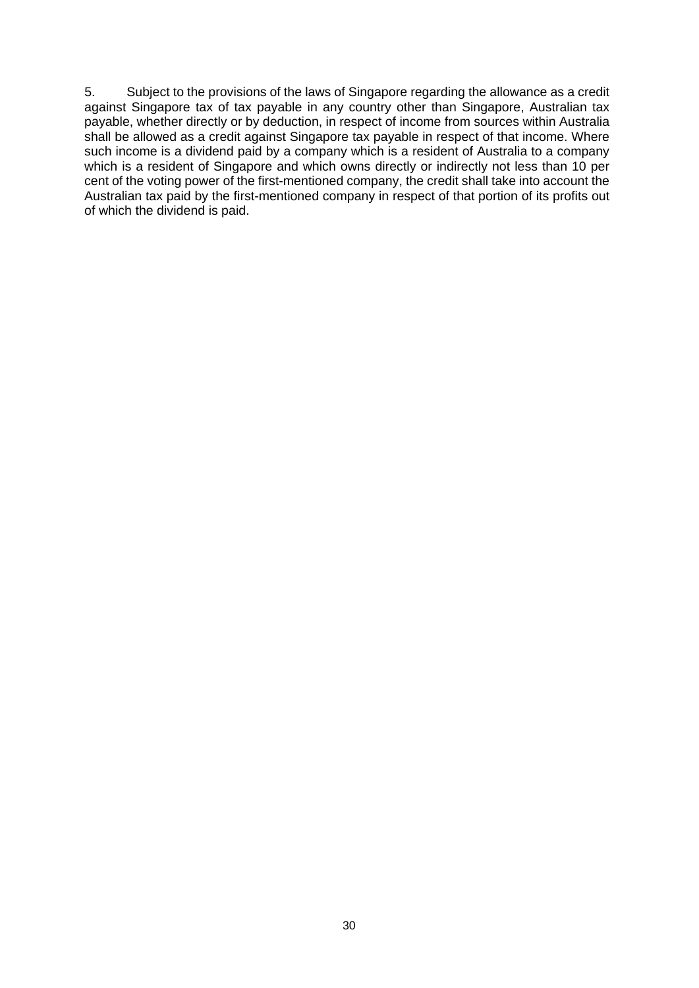5. Subject to the provisions of the laws of Singapore regarding the allowance as a credit against Singapore tax of tax payable in any country other than Singapore, Australian tax payable, whether directly or by deduction, in respect of income from sources within Australia shall be allowed as a credit against Singapore tax payable in respect of that income. Where such income is a dividend paid by a company which is a resident of Australia to a company which is a resident of Singapore and which owns directly or indirectly not less than 10 per cent of the voting power of the first-mentioned company, the credit shall take into account the Australian tax paid by the first-mentioned company in respect of that portion of its profits out of which the dividend is paid.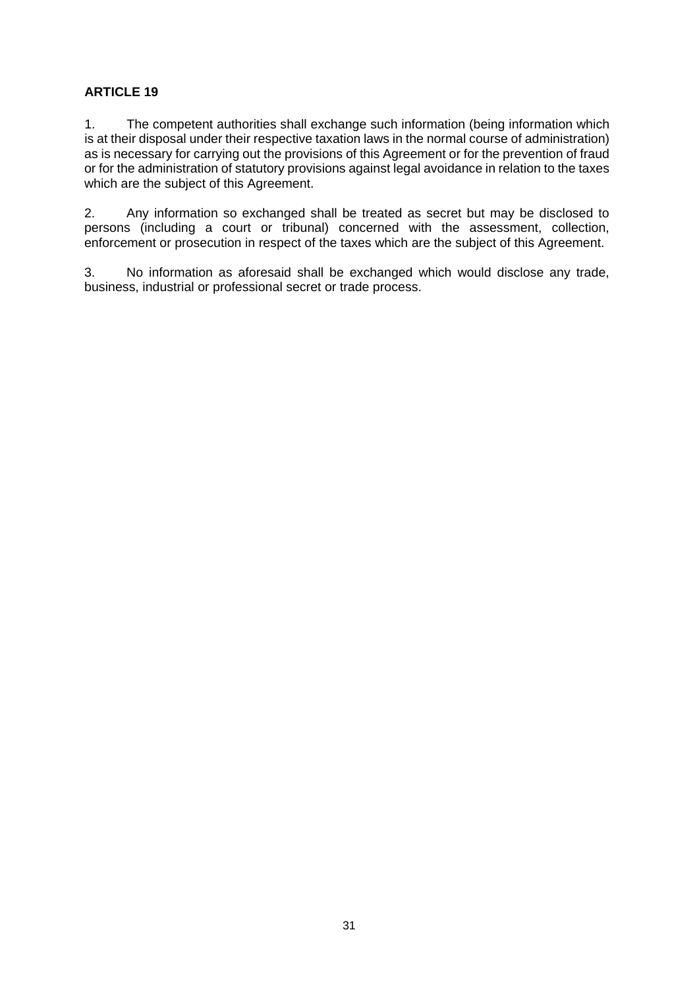1. The competent authorities shall exchange such information (being information which is at their disposal under their respective taxation laws in the normal course of administration) as is necessary for carrying out the provisions of this Agreement or for the prevention of fraud or for the administration of statutory provisions against legal avoidance in relation to the taxes which are the subject of this Agreement.

2. Any information so exchanged shall be treated as secret but may be disclosed to persons (including a court or tribunal) concerned with the assessment, collection, enforcement or prosecution in respect of the taxes which are the subject of this Agreement.

3. No information as aforesaid shall be exchanged which would disclose any trade, business, industrial or professional secret or trade process.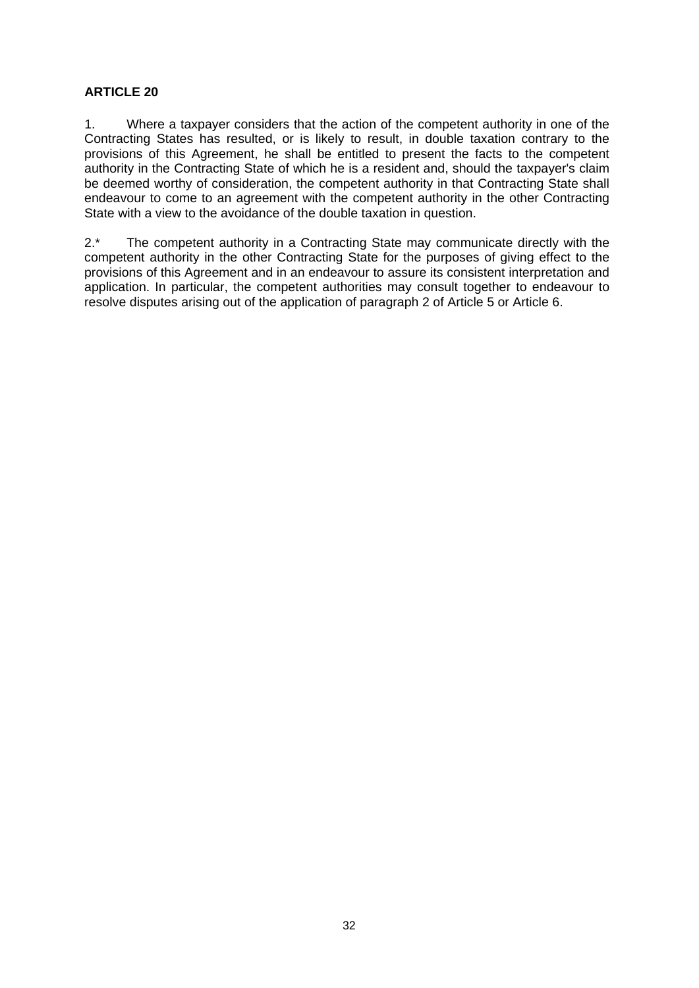1. Where a taxpayer considers that the action of the competent authority in one of the Contracting States has resulted, or is likely to result, in double taxation contrary to the provisions of this Agreement, he shall be entitled to present the facts to the competent authority in the Contracting State of which he is a resident and, should the taxpayer's claim be deemed worthy of consideration, the competent authority in that Contracting State shall endeavour to come to an agreement with the competent authority in the other Contracting State with a view to the avoidance of the double taxation in question.

2<sup>\*</sup> The competent authority in a Contracting State may communicate directly with the competent authority in the other Contracting State for the purposes of giving effect to the provisions of this Agreement and in an endeavour to assure its consistent interpretation and application. In particular, the competent authorities may consult together to endeavour to resolve disputes arising out of the application of paragraph 2 of Article 5 or Article 6.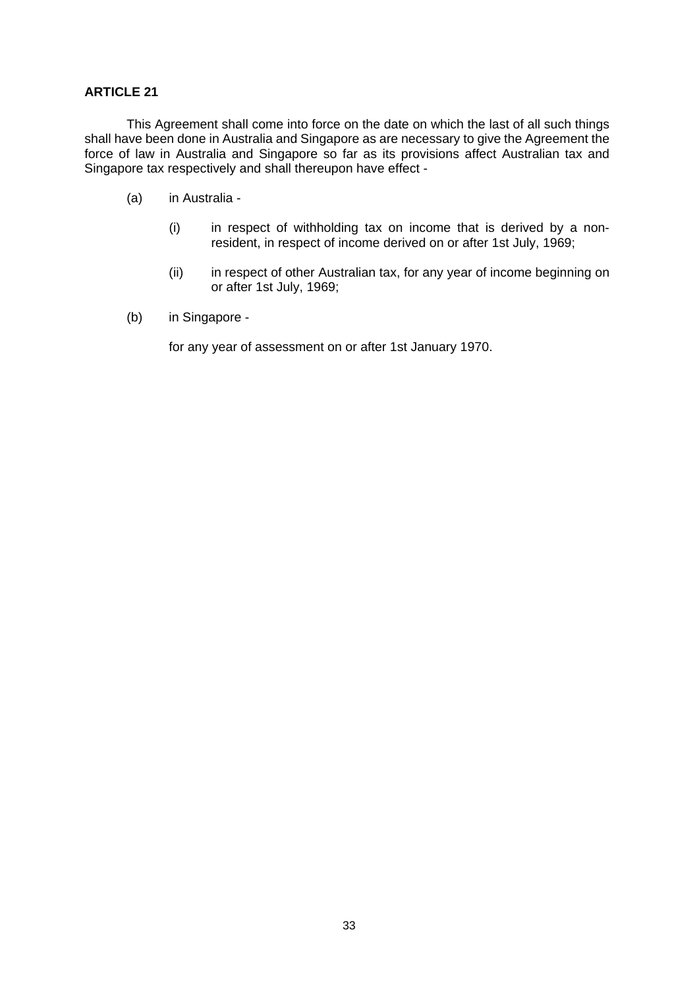This Agreement shall come into force on the date on which the last of all such things shall have been done in Australia and Singapore as are necessary to give the Agreement the force of law in Australia and Singapore so far as its provisions affect Australian tax and Singapore tax respectively and shall thereupon have effect -

- (a) in Australia
	- (i) in respect of withholding tax on income that is derived by a nonresident, in respect of income derived on or after 1st July, 1969;
	- (ii) in respect of other Australian tax, for any year of income beginning on or after 1st July, 1969;
- (b) in Singapore -

for any year of assessment on or after 1st January 1970.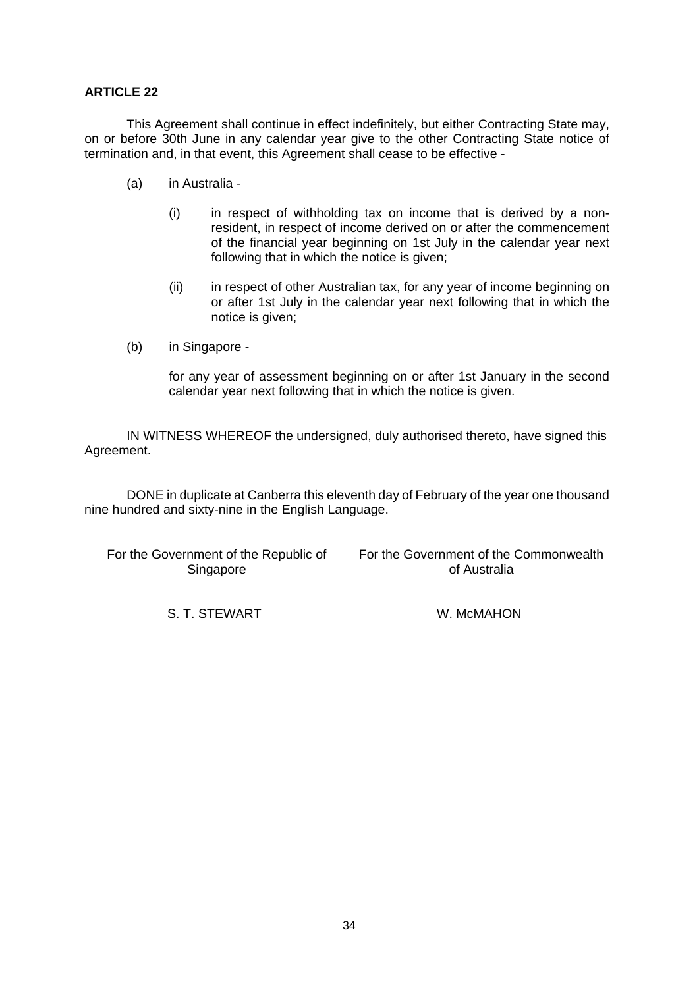This Agreement shall continue in effect indefinitely, but either Contracting State may, on or before 30th June in any calendar year give to the other Contracting State notice of termination and, in that event, this Agreement shall cease to be effective -

- (a) in Australia
	- (i) in respect of withholding tax on income that is derived by a nonresident, in respect of income derived on or after the commencement of the financial year beginning on 1st July in the calendar year next following that in which the notice is given;
	- (ii) in respect of other Australian tax, for any year of income beginning on or after 1st July in the calendar year next following that in which the notice is given;
- (b) in Singapore -

for any year of assessment beginning on or after 1st January in the second calendar year next following that in which the notice is given.

IN WITNESS WHEREOF the undersigned, duly authorised thereto, have signed this Agreement.

DONE in duplicate at Canberra this eleventh day of February of the year one thousand nine hundred and sixty-nine in the English Language.

For the Government of the Republic of Singapore

For the Government of the Commonwealth of Australia

S. T. STEWART W. MCMAHON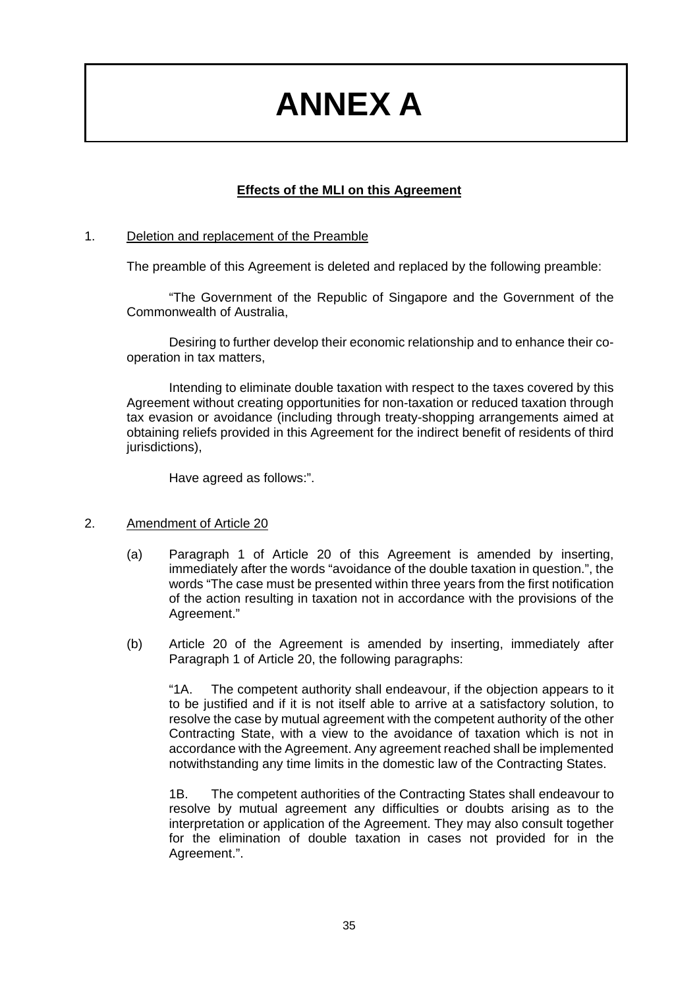## **ANNEX A**

## **Effects of the MLI on this Agreement**

#### 1. Deletion and replacement of the Preamble

The preamble of this Agreement is deleted and replaced by the following preamble:

"The Government of the Republic of Singapore and the Government of the Commonwealth of Australia,

Desiring to further develop their economic relationship and to enhance their cooperation in tax matters,

Intending to eliminate double taxation with respect to the taxes covered by this Agreement without creating opportunities for non-taxation or reduced taxation through tax evasion or avoidance (including through treaty-shopping arrangements aimed at obtaining reliefs provided in this Agreement for the indirect benefit of residents of third jurisdictions),

Have agreed as follows:".

#### 2. Amendment of Article 20

- (a) Paragraph 1 of Article 20 of this Agreement is amended by inserting, immediately after the words "avoidance of the double taxation in question.", the words "The case must be presented within three years from the first notification of the action resulting in taxation not in accordance with the provisions of the Agreement."
- (b) Article 20 of the Agreement is amended by inserting, immediately after Paragraph 1 of Article 20, the following paragraphs:

"1A. The competent authority shall endeavour, if the objection appears to it to be justified and if it is not itself able to arrive at a satisfactory solution, to resolve the case by mutual agreement with the competent authority of the other Contracting State, with a view to the avoidance of taxation which is not in accordance with the Agreement. Any agreement reached shall be implemented notwithstanding any time limits in the domestic law of the Contracting States.

1B. The competent authorities of the Contracting States shall endeavour to resolve by mutual agreement any difficulties or doubts arising as to the interpretation or application of the Agreement. They may also consult together for the elimination of double taxation in cases not provided for in the Agreement.".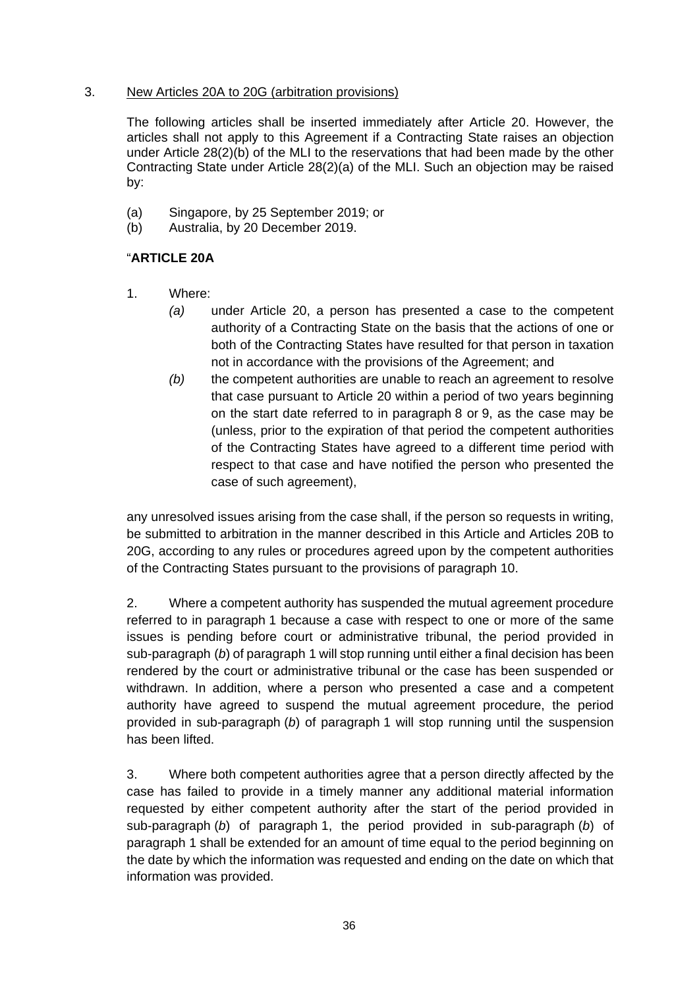#### 3. New Articles 20A to 20G (arbitration provisions)

The following articles shall be inserted immediately after Article 20. However, the articles shall not apply to this Agreement if a Contracting State raises an objection under Article 28(2)(b) of the MLI to the reservations that had been made by the other Contracting State under Article 28(2)(a) of the MLI. Such an objection may be raised by:

- (a) Singapore, by 25 September 2019; or
- (b) Australia, by 20 December 2019.

## "**ARTICLE 20A**

- 1. Where:
	- *(a)* under Article 20, a person has presented a case to the competent authority of a Contracting State on the basis that the actions of one or both of the Contracting States have resulted for that person in taxation not in accordance with the provisions of the Agreement; and
	- *(b)* the competent authorities are unable to reach an agreement to resolve that case pursuant to Article 20 within a period of two years beginning on the start date referred to in paragraph 8 or 9, as the case may be (unless, prior to the expiration of that period the competent authorities of the Contracting States have agreed to a different time period with respect to that case and have notified the person who presented the case of such agreement),

any unresolved issues arising from the case shall, if the person so requests in writing, be submitted to arbitration in the manner described in this Article and Articles 20B to 20G, according to any rules or procedures agreed upon by the competent authorities of the Contracting States pursuant to the provisions of paragraph 10.

2. Where a competent authority has suspended the mutual agreement procedure referred to in paragraph 1 because a case with respect to one or more of the same issues is pending before court or administrative tribunal, the period provided in sub-paragraph (*b*) of paragraph 1 will stop running until either a final decision has been rendered by the court or administrative tribunal or the case has been suspended or withdrawn. In addition, where a person who presented a case and a competent authority have agreed to suspend the mutual agreement procedure, the period provided in sub-paragraph (*b*) of paragraph 1 will stop running until the suspension has been lifted.

3. Where both competent authorities agree that a person directly affected by the case has failed to provide in a timely manner any additional material information requested by either competent authority after the start of the period provided in sub-paragraph (*b*) of paragraph 1, the period provided in sub-paragraph (*b*) of paragraph 1 shall be extended for an amount of time equal to the period beginning on the date by which the information was requested and ending on the date on which that information was provided.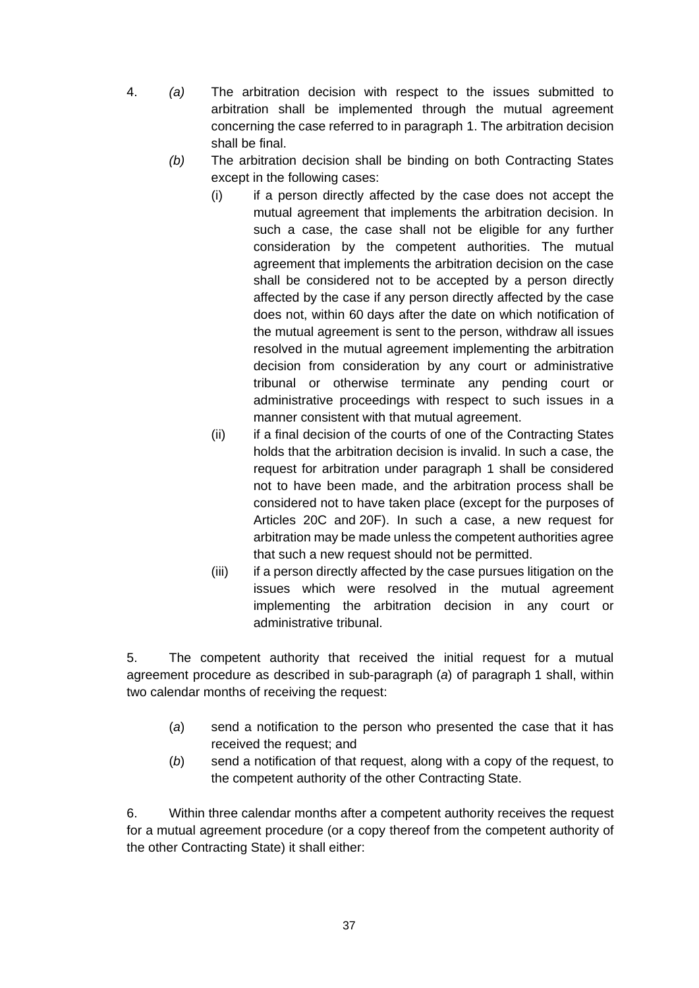- 4. *(a)* The arbitration decision with respect to the issues submitted to arbitration shall be implemented through the mutual agreement concerning the case referred to in paragraph 1. The arbitration decision shall be final.
	- *(b)* The arbitration decision shall be binding on both Contracting States except in the following cases:
		- (i) if a person directly affected by the case does not accept the mutual agreement that implements the arbitration decision. In such a case, the case shall not be eligible for any further consideration by the competent authorities. The mutual agreement that implements the arbitration decision on the case shall be considered not to be accepted by a person directly affected by the case if any person directly affected by the case does not, within 60 days after the date on which notification of the mutual agreement is sent to the person, withdraw all issues resolved in the mutual agreement implementing the arbitration decision from consideration by any court or administrative tribunal or otherwise terminate any pending court or administrative proceedings with respect to such issues in a manner consistent with that mutual agreement.
		- (ii) if a final decision of the courts of one of the Contracting States holds that the arbitration decision is invalid. In such a case, the request for arbitration under paragraph 1 shall be considered not to have been made, and the arbitration process shall be considered not to have taken place (except for the purposes of Articles 20C and 20F). In such a case, a new request for arbitration may be made unless the competent authorities agree that such a new request should not be permitted.
		- (iii) if a person directly affected by the case pursues litigation on the issues which were resolved in the mutual agreement implementing the arbitration decision in any court or administrative tribunal.

5. The competent authority that received the initial request for a mutual agreement procedure as described in sub-paragraph (*a*) of paragraph 1 shall, within two calendar months of receiving the request:

- (*a*) send a notification to the person who presented the case that it has received the request; and
- (*b*) send a notification of that request, along with a copy of the request, to the competent authority of the other Contracting State.

6. Within three calendar months after a competent authority receives the request for a mutual agreement procedure (or a copy thereof from the competent authority of the other Contracting State) it shall either: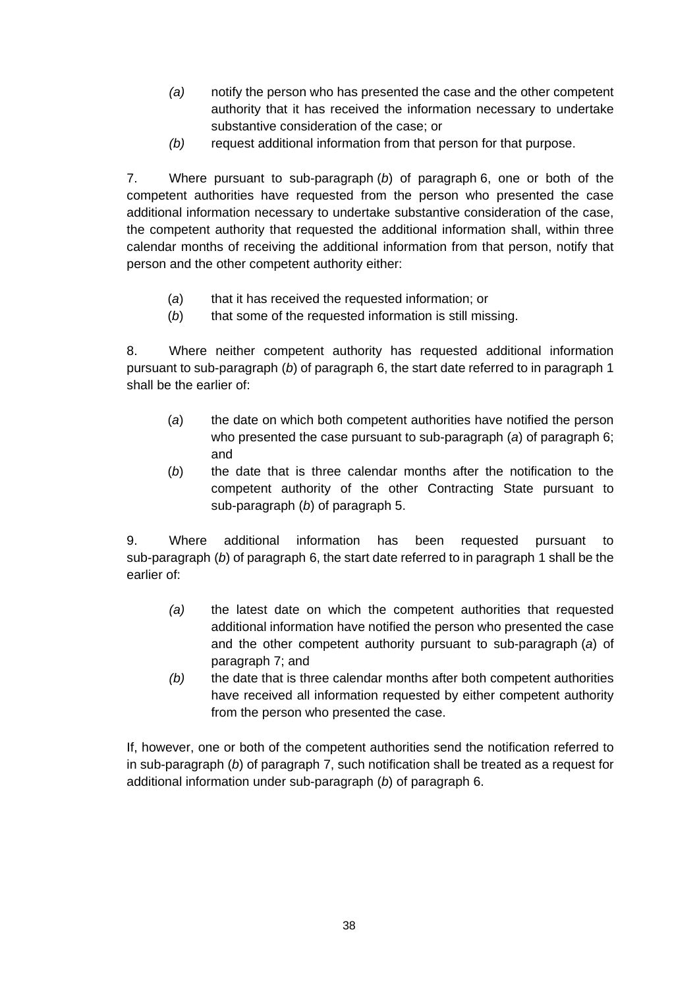- *(a)* notify the person who has presented the case and the other competent authority that it has received the information necessary to undertake substantive consideration of the case; or
- *(b)* request additional information from that person for that purpose.

7. Where pursuant to sub-paragraph (*b*) of paragraph 6, one or both of the competent authorities have requested from the person who presented the case additional information necessary to undertake substantive consideration of the case, the competent authority that requested the additional information shall, within three calendar months of receiving the additional information from that person, notify that person and the other competent authority either:

- (*a*) that it has received the requested information; or
- (b) that some of the requested information is still missing.

8. Where neither competent authority has requested additional information pursuant to sub-paragraph (*b*) of paragraph 6, the start date referred to in paragraph 1 shall be the earlier of:

- (*a*) the date on which both competent authorities have notified the person who presented the case pursuant to sub-paragraph (*a*) of paragraph 6; and
- (*b*) the date that is three calendar months after the notification to the competent authority of the other Contracting State pursuant to sub-paragraph (*b*) of paragraph 5.

9. Where additional information has been requested pursuant to sub-paragraph (*b*) of paragraph 6, the start date referred to in paragraph 1 shall be the earlier of:

- *(a)* the latest date on which the competent authorities that requested additional information have notified the person who presented the case and the other competent authority pursuant to sub-paragraph (*a*) of paragraph 7; and
- *(b)* the date that is three calendar months after both competent authorities have received all information requested by either competent authority from the person who presented the case.

If, however, one or both of the competent authorities send the notification referred to in sub-paragraph (*b*) of paragraph 7, such notification shall be treated as a request for additional information under sub-paragraph (*b*) of paragraph 6.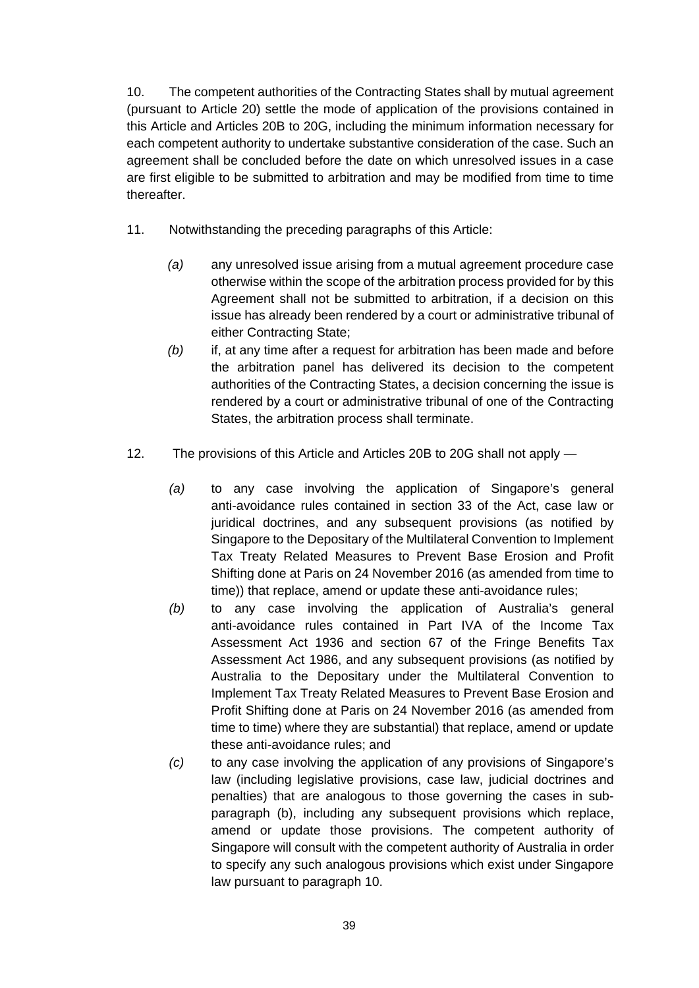10. The competent authorities of the Contracting States shall by mutual agreement (pursuant to Article 20) settle the mode of application of the provisions contained in this Article and Articles 20B to 20G, including the minimum information necessary for each competent authority to undertake substantive consideration of the case. Such an agreement shall be concluded before the date on which unresolved issues in a case are first eligible to be submitted to arbitration and may be modified from time to time thereafter.

- 11. Notwithstanding the preceding paragraphs of this Article:
	- *(a)* any unresolved issue arising from a mutual agreement procedure case otherwise within the scope of the arbitration process provided for by this Agreement shall not be submitted to arbitration, if a decision on this issue has already been rendered by a court or administrative tribunal of either Contracting State;
	- *(b)* if, at any time after a request for arbitration has been made and before the arbitration panel has delivered its decision to the competent authorities of the Contracting States, a decision concerning the issue is rendered by a court or administrative tribunal of one of the Contracting States, the arbitration process shall terminate.
- 12. The provisions of this Article and Articles 20B to 20G shall not apply
	- *(a)* to any case involving the application of Singapore's general anti-avoidance rules contained in section 33 of the Act, case law or juridical doctrines, and any subsequent provisions (as notified by Singapore to the Depositary of the Multilateral Convention to Implement Tax Treaty Related Measures to Prevent Base Erosion and Profit Shifting done at Paris on 24 November 2016 (as amended from time to time)) that replace, amend or update these anti-avoidance rules;
	- *(b)* to any case involving the application of Australia's general anti-avoidance rules contained in Part IVA of the Income Tax Assessment Act 1936 and section 67 of the Fringe Benefits Tax Assessment Act 1986, and any subsequent provisions (as notified by Australia to the Depositary under the Multilateral Convention to Implement Tax Treaty Related Measures to Prevent Base Erosion and Profit Shifting done at Paris on 24 November 2016 (as amended from time to time) where they are substantial) that replace, amend or update these anti-avoidance rules; and
	- *(c)* to any case involving the application of any provisions of Singapore's law (including legislative provisions, case law, judicial doctrines and penalties) that are analogous to those governing the cases in subparagraph (b), including any subsequent provisions which replace, amend or update those provisions. The competent authority of Singapore will consult with the competent authority of Australia in order to specify any such analogous provisions which exist under Singapore law pursuant to paragraph 10.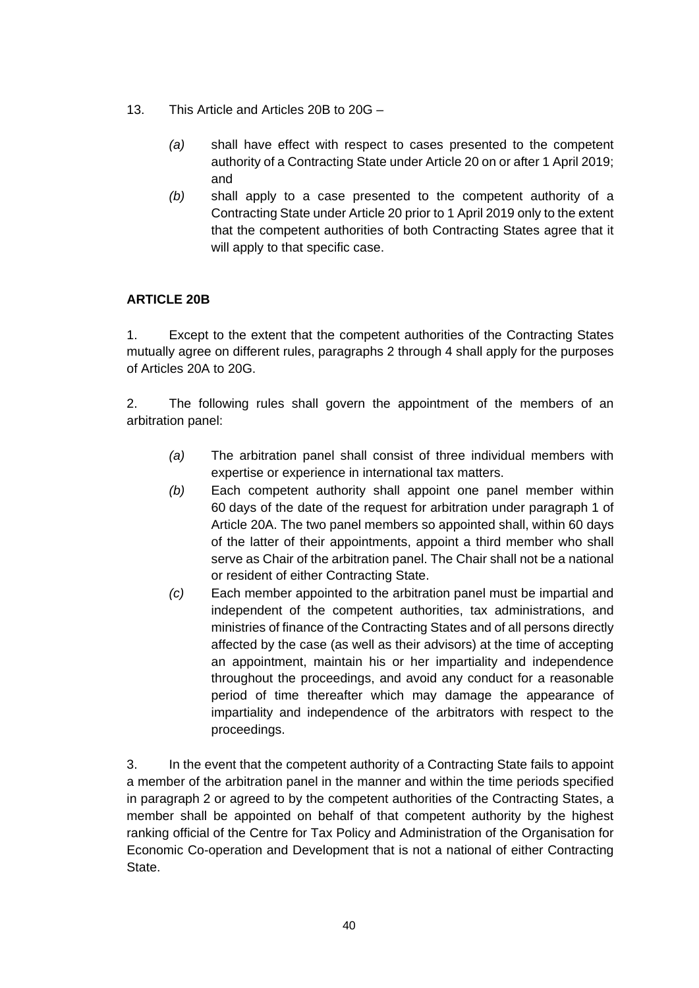- 13. This Article and Articles 20B to 20G
	- *(a)* shall have effect with respect to cases presented to the competent authority of a Contracting State under Article 20 on or after 1 April 2019; and
	- *(b)* shall apply to a case presented to the competent authority of a Contracting State under Article 20 prior to 1 April 2019 only to the extent that the competent authorities of both Contracting States agree that it will apply to that specific case.

## **ARTICLE 20B**

1. Except to the extent that the competent authorities of the Contracting States mutually agree on different rules, paragraphs 2 through 4 shall apply for the purposes of Articles 20A to 20G.

2. The following rules shall govern the appointment of the members of an arbitration panel:

- *(a)* The arbitration panel shall consist of three individual members with expertise or experience in international tax matters.
- *(b)* Each competent authority shall appoint one panel member within 60 days of the date of the request for arbitration under paragraph 1 of Article 20A. The two panel members so appointed shall, within 60 days of the latter of their appointments, appoint a third member who shall serve as Chair of the arbitration panel. The Chair shall not be a national or resident of either Contracting State.
- *(c)* Each member appointed to the arbitration panel must be impartial and independent of the competent authorities, tax administrations, and ministries of finance of the Contracting States and of all persons directly affected by the case (as well as their advisors) at the time of accepting an appointment, maintain his or her impartiality and independence throughout the proceedings, and avoid any conduct for a reasonable period of time thereafter which may damage the appearance of impartiality and independence of the arbitrators with respect to the proceedings.

3. In the event that the competent authority of a Contracting State fails to appoint a member of the arbitration panel in the manner and within the time periods specified in paragraph 2 or agreed to by the competent authorities of the Contracting States, a member shall be appointed on behalf of that competent authority by the highest ranking official of the Centre for Tax Policy and Administration of the Organisation for Economic Co-operation and Development that is not a national of either Contracting State.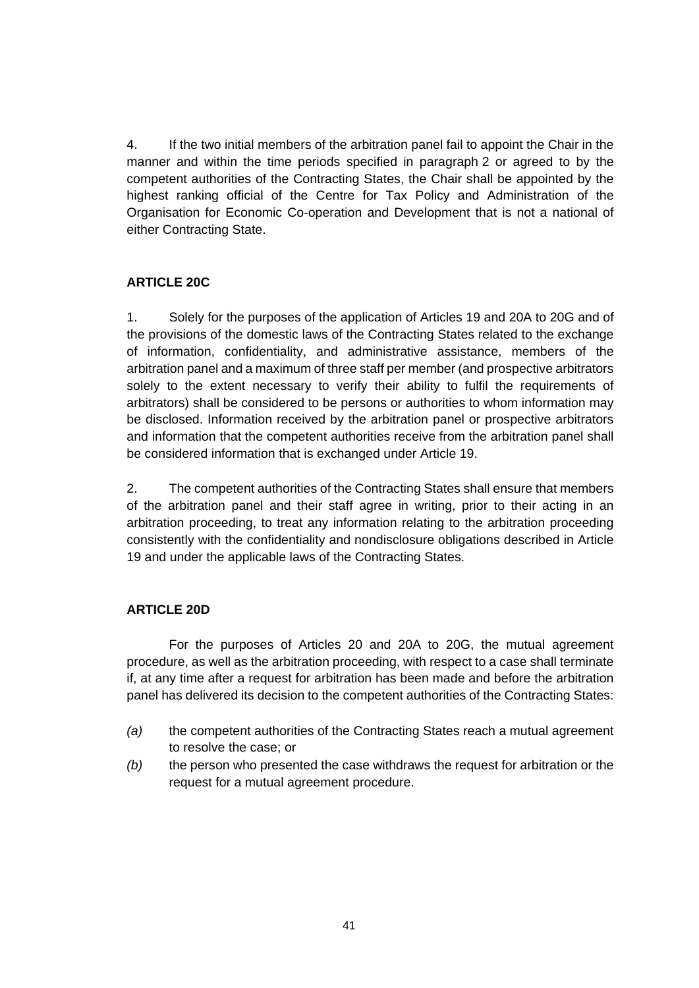4. If the two initial members of the arbitration panel fail to appoint the Chair in the manner and within the time periods specified in paragraph 2 or agreed to by the competent authorities of the Contracting States, the Chair shall be appointed by the highest ranking official of the Centre for Tax Policy and Administration of the Organisation for Economic Co-operation and Development that is not a national of either Contracting State.

#### **ARTICLE 20C**

1. Solely for the purposes of the application of Articles 19 and 20A to 20G and of the provisions of the domestic laws of the Contracting States related to the exchange of information, confidentiality, and administrative assistance, members of the arbitration panel and a maximum of three staff per member (and prospective arbitrators solely to the extent necessary to verify their ability to fulfil the requirements of arbitrators) shall be considered to be persons or authorities to whom information may be disclosed. Information received by the arbitration panel or prospective arbitrators and information that the competent authorities receive from the arbitration panel shall be considered information that is exchanged under Article 19.

2. The competent authorities of the Contracting States shall ensure that members of the arbitration panel and their staff agree in writing, prior to their acting in an arbitration proceeding, to treat any information relating to the arbitration proceeding consistently with the confidentiality and nondisclosure obligations described in Article 19 and under the applicable laws of the Contracting States.

## **ARTICLE 20D**

For the purposes of Articles 20 and 20A to 20G, the mutual agreement procedure, as well as the arbitration proceeding, with respect to a case shall terminate if, at any time after a request for arbitration has been made and before the arbitration panel has delivered its decision to the competent authorities of the Contracting States:

- *(a)* the competent authorities of the Contracting States reach a mutual agreement to resolve the case; or
- *(b)* the person who presented the case withdraws the request for arbitration or the request for a mutual agreement procedure.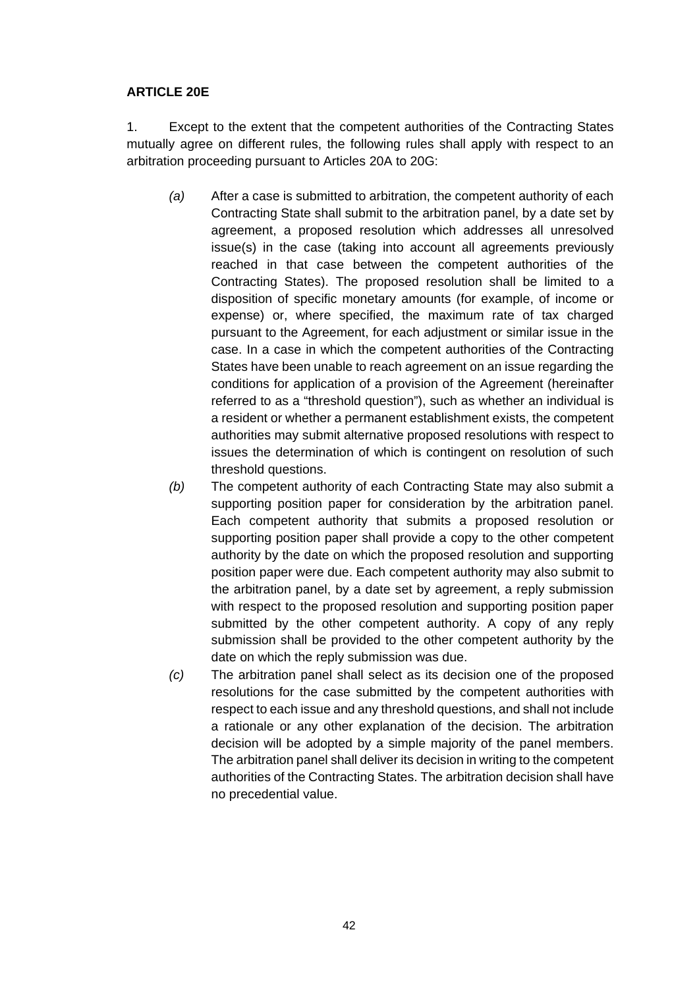#### **ARTICLE 20E**

1. Except to the extent that the competent authorities of the Contracting States mutually agree on different rules, the following rules shall apply with respect to an arbitration proceeding pursuant to Articles 20A to 20G:

- *(a)* After a case is submitted to arbitration, the competent authority of each Contracting State shall submit to the arbitration panel, by a date set by agreement, a proposed resolution which addresses all unresolved issue(s) in the case (taking into account all agreements previously reached in that case between the competent authorities of the Contracting States). The proposed resolution shall be limited to a disposition of specific monetary amounts (for example, of income or expense) or, where specified, the maximum rate of tax charged pursuant to the Agreement, for each adjustment or similar issue in the case. In a case in which the competent authorities of the Contracting States have been unable to reach agreement on an issue regarding the conditions for application of a provision of the Agreement (hereinafter referred to as a "threshold question"), such as whether an individual is a resident or whether a permanent establishment exists, the competent authorities may submit alternative proposed resolutions with respect to issues the determination of which is contingent on resolution of such threshold questions.
- *(b)* The competent authority of each Contracting State may also submit a supporting position paper for consideration by the arbitration panel. Each competent authority that submits a proposed resolution or supporting position paper shall provide a copy to the other competent authority by the date on which the proposed resolution and supporting position paper were due. Each competent authority may also submit to the arbitration panel, by a date set by agreement, a reply submission with respect to the proposed resolution and supporting position paper submitted by the other competent authority. A copy of any reply submission shall be provided to the other competent authority by the date on which the reply submission was due.
- *(c)* The arbitration panel shall select as its decision one of the proposed resolutions for the case submitted by the competent authorities with respect to each issue and any threshold questions, and shall not include a rationale or any other explanation of the decision. The arbitration decision will be adopted by a simple majority of the panel members. The arbitration panel shall deliver its decision in writing to the competent authorities of the Contracting States. The arbitration decision shall have no precedential value.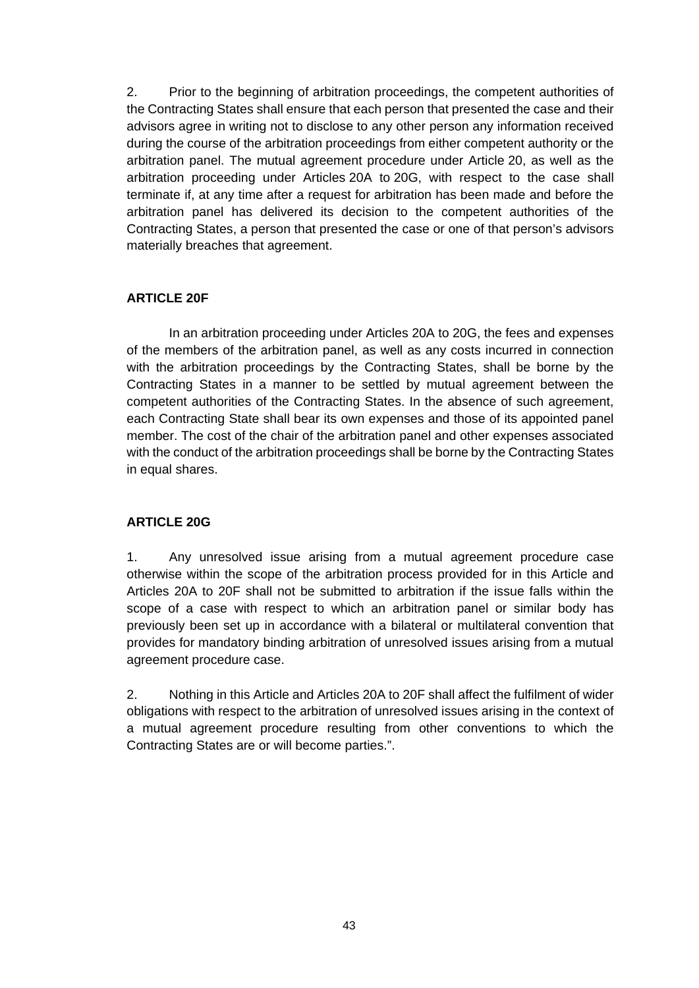2. Prior to the beginning of arbitration proceedings, the competent authorities of the Contracting States shall ensure that each person that presented the case and their advisors agree in writing not to disclose to any other person any information received during the course of the arbitration proceedings from either competent authority or the arbitration panel. The mutual agreement procedure under Article 20, as well as the arbitration proceeding under Articles 20A to 20G, with respect to the case shall terminate if, at any time after a request for arbitration has been made and before the arbitration panel has delivered its decision to the competent authorities of the Contracting States, a person that presented the case or one of that person's advisors materially breaches that agreement.

#### **ARTICLE 20F**

In an arbitration proceeding under Articles 20A to 20G, the fees and expenses of the members of the arbitration panel, as well as any costs incurred in connection with the arbitration proceedings by the Contracting States, shall be borne by the Contracting States in a manner to be settled by mutual agreement between the competent authorities of the Contracting States. In the absence of such agreement, each Contracting State shall bear its own expenses and those of its appointed panel member. The cost of the chair of the arbitration panel and other expenses associated with the conduct of the arbitration proceedings shall be borne by the Contracting States in equal shares.

## **ARTICLE 20G**

1. Any unresolved issue arising from a mutual agreement procedure case otherwise within the scope of the arbitration process provided for in this Article and Articles 20A to 20F shall not be submitted to arbitration if the issue falls within the scope of a case with respect to which an arbitration panel or similar body has previously been set up in accordance with a bilateral or multilateral convention that provides for mandatory binding arbitration of unresolved issues arising from a mutual agreement procedure case.

2. Nothing in this Article and Articles 20A to 20F shall affect the fulfilment of wider obligations with respect to the arbitration of unresolved issues arising in the context of a mutual agreement procedure resulting from other conventions to which the Contracting States are or will become parties.".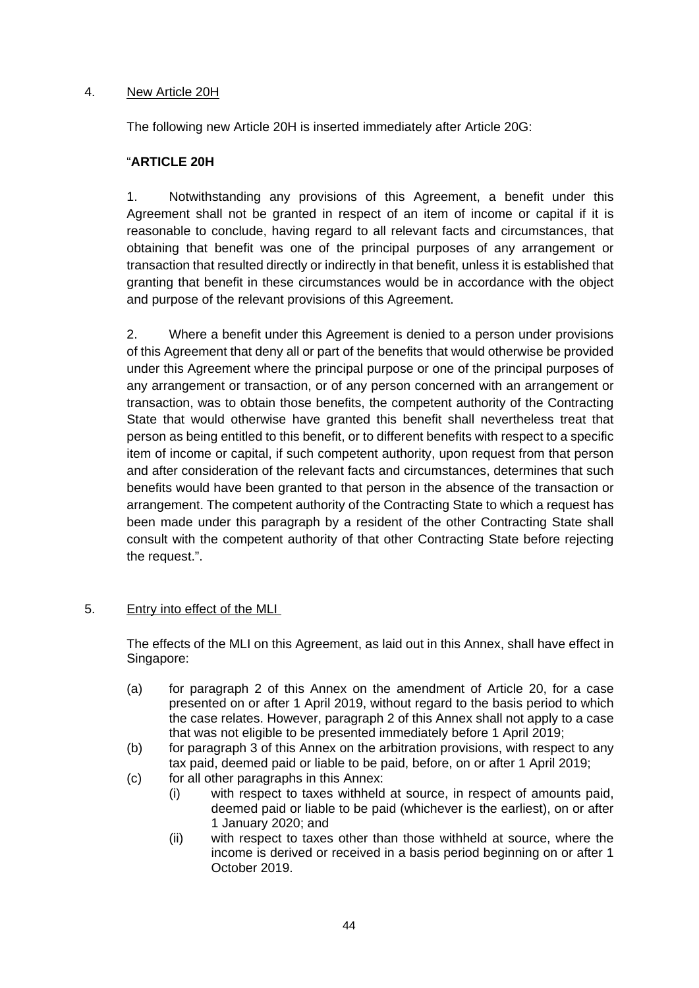### 4. New Article 20H

The following new Article 20H is inserted immediately after Article 20G:

## "**ARTICLE 20H**

1. Notwithstanding any provisions of this Agreement, a benefit under this Agreement shall not be granted in respect of an item of income or capital if it is reasonable to conclude, having regard to all relevant facts and circumstances, that obtaining that benefit was one of the principal purposes of any arrangement or transaction that resulted directly or indirectly in that benefit, unless it is established that granting that benefit in these circumstances would be in accordance with the object and purpose of the relevant provisions of this Agreement.

2. Where a benefit under this Agreement is denied to a person under provisions of this Agreement that deny all or part of the benefits that would otherwise be provided under this Agreement where the principal purpose or one of the principal purposes of any arrangement or transaction, or of any person concerned with an arrangement or transaction, was to obtain those benefits, the competent authority of the Contracting State that would otherwise have granted this benefit shall nevertheless treat that person as being entitled to this benefit, or to different benefits with respect to a specific item of income or capital, if such competent authority, upon request from that person and after consideration of the relevant facts and circumstances, determines that such benefits would have been granted to that person in the absence of the transaction or arrangement. The competent authority of the Contracting State to which a request has been made under this paragraph by a resident of the other Contracting State shall consult with the competent authority of that other Contracting State before rejecting the request.".

#### 5. Entry into effect of the MLI

The effects of the MLI on this Agreement, as laid out in this Annex, shall have effect in Singapore:

- (a) for paragraph 2 of this Annex on the amendment of Article 20, for a case presented on or after 1 April 2019, without regard to the basis period to which the case relates. However, paragraph 2 of this Annex shall not apply to a case that was not eligible to be presented immediately before 1 April 2019;
- (b) for paragraph 3 of this Annex on the arbitration provisions, with respect to any tax paid, deemed paid or liable to be paid, before, on or after 1 April 2019;
- (c) for all other paragraphs in this Annex:
	- (i) with respect to taxes withheld at source, in respect of amounts paid, deemed paid or liable to be paid (whichever is the earliest), on or after 1 January 2020; and
	- (ii) with respect to taxes other than those withheld at source, where the income is derived or received in a basis period beginning on or after 1 October 2019.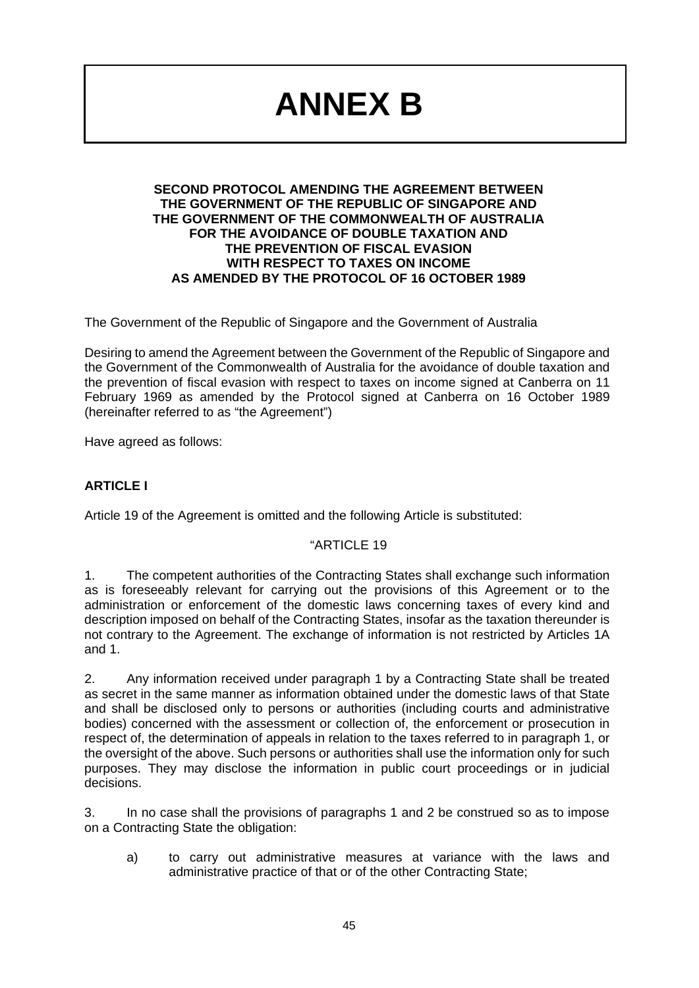## **ANNEX B**

#### **SECOND PROTOCOL AMENDING THE AGREEMENT BETWEEN THE GOVERNMENT OF THE REPUBLIC OF SINGAPORE AND THE GOVERNMENT OF THE COMMONWEALTH OF AUSTRALIA FOR THE AVOIDANCE OF DOUBLE TAXATION AND THE PREVENTION OF FISCAL EVASION WITH RESPECT TO TAXES ON INCOME AS AMENDED BY THE PROTOCOL OF 16 OCTOBER 1989**

The Government of the Republic of Singapore and the Government of Australia

Desiring to amend the Agreement between the Government of the Republic of Singapore and the Government of the Commonwealth of Australia for the avoidance of double taxation and the prevention of fiscal evasion with respect to taxes on income signed at Canberra on 11 February 1969 as amended by the Protocol signed at Canberra on 16 October 1989 (hereinafter referred to as "the Agreement")

Have agreed as follows:

## **ARTICLE I**

Article 19 of the Agreement is omitted and the following Article is substituted:

#### "ARTICLE 19

1. The competent authorities of the Contracting States shall exchange such information as is foreseeably relevant for carrying out the provisions of this Agreement or to the administration or enforcement of the domestic laws concerning taxes of every kind and description imposed on behalf of the Contracting States, insofar as the taxation thereunder is not contrary to the Agreement. The exchange of information is not restricted by Articles 1A and 1.

2. Any information received under paragraph 1 by a Contracting State shall be treated as secret in the same manner as information obtained under the domestic laws of that State and shall be disclosed only to persons or authorities (including courts and administrative bodies) concerned with the assessment or collection of, the enforcement or prosecution in respect of, the determination of appeals in relation to the taxes referred to in paragraph 1, or the oversight of the above. Such persons or authorities shall use the information only for such purposes. They may disclose the information in public court proceedings or in judicial decisions.

3. In no case shall the provisions of paragraphs 1 and 2 be construed so as to impose on a Contracting State the obligation:

a) to carry out administrative measures at variance with the laws and administrative practice of that or of the other Contracting State;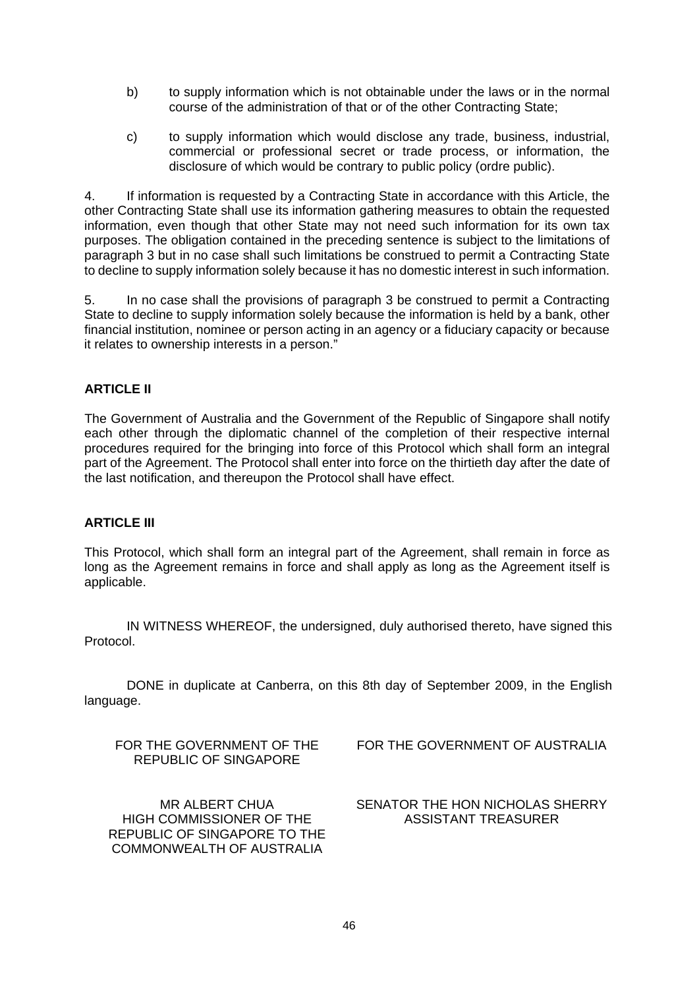- b) to supply information which is not obtainable under the laws or in the normal course of the administration of that or of the other Contracting State;
- c) to supply information which would disclose any trade, business, industrial, commercial or professional secret or trade process, or information, the disclosure of which would be contrary to public policy (ordre public).

4. If information is requested by a Contracting State in accordance with this Article, the other Contracting State shall use its information gathering measures to obtain the requested information, even though that other State may not need such information for its own tax purposes. The obligation contained in the preceding sentence is subject to the limitations of paragraph 3 but in no case shall such limitations be construed to permit a Contracting State to decline to supply information solely because it has no domestic interest in such information.

5. In no case shall the provisions of paragraph 3 be construed to permit a Contracting State to decline to supply information solely because the information is held by a bank, other financial institution, nominee or person acting in an agency or a fiduciary capacity or because it relates to ownership interests in a person."

#### **ARTICLE II**

The Government of Australia and the Government of the Republic of Singapore shall notify each other through the diplomatic channel of the completion of their respective internal procedures required for the bringing into force of this Protocol which shall form an integral part of the Agreement. The Protocol shall enter into force on the thirtieth day after the date of the last notification, and thereupon the Protocol shall have effect.

#### **ARTICLE III**

This Protocol, which shall form an integral part of the Agreement, shall remain in force as long as the Agreement remains in force and shall apply as long as the Agreement itself is applicable.

IN WITNESS WHEREOF, the undersigned, duly authorised thereto, have signed this Protocol.

DONE in duplicate at Canberra, on this 8th day of September 2009, in the English language.

FOR THE GOVERNMENT OF THE REPUBLIC OF SINGAPORE

MR ALBERT CHUA HIGH COMMISSIONER OF THE REPUBLIC OF SINGAPORE TO THE COMMONWEALTH OF AUSTRALIA

FOR THE GOVERNMENT OF AUSTRALIA

SENATOR THE HON NICHOLAS SHERRY ASSISTANT TREASURER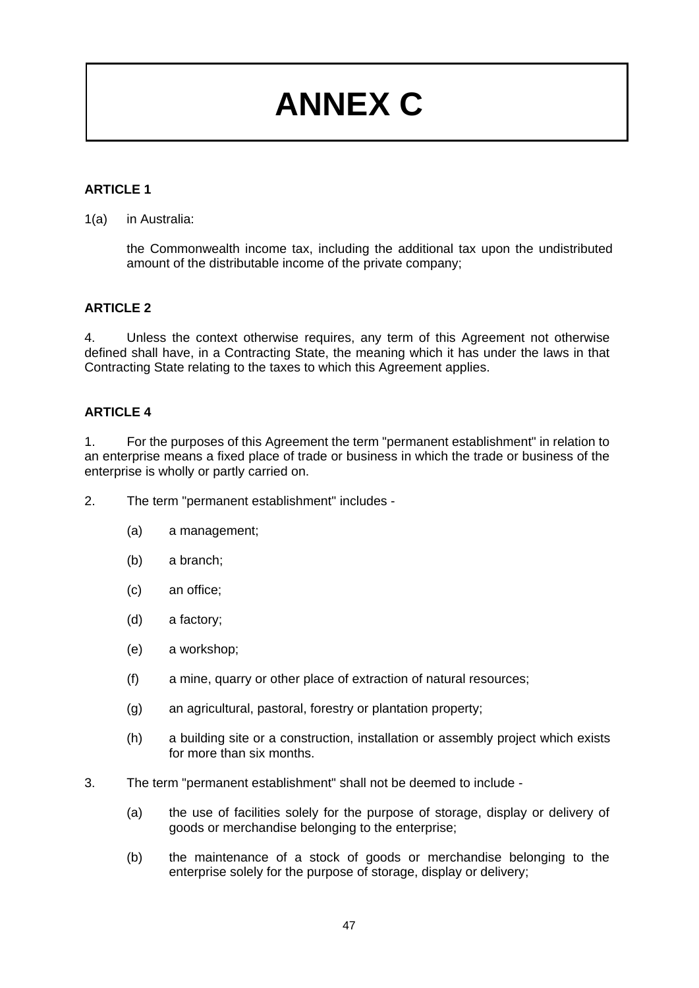# **ANNEX C**

## **ARTICLE 1**

#### 1(a) in Australia:

the Commonwealth income tax, including the additional tax upon the undistributed amount of the distributable income of the private company;

#### **ARTICLE 2**

4. Unless the context otherwise requires, any term of this Agreement not otherwise defined shall have, in a Contracting State, the meaning which it has under the laws in that Contracting State relating to the taxes to which this Agreement applies.

#### **ARTICLE 4**

1. For the purposes of this Agreement the term "permanent establishment" in relation to an enterprise means a fixed place of trade or business in which the trade or business of the enterprise is wholly or partly carried on.

- 2. The term "permanent establishment" includes
	- (a) a management;
	- (b) a branch;
	- (c) an office;
	- (d) a factory;
	- (e) a workshop;
	- (f) a mine, quarry or other place of extraction of natural resources;
	- (g) an agricultural, pastoral, forestry or plantation property;
	- (h) a building site or a construction, installation or assembly project which exists for more than six months.
- 3. The term "permanent establishment" shall not be deemed to include
	- (a) the use of facilities solely for the purpose of storage, display or delivery of goods or merchandise belonging to the enterprise;
	- (b) the maintenance of a stock of goods or merchandise belonging to the enterprise solely for the purpose of storage, display or delivery;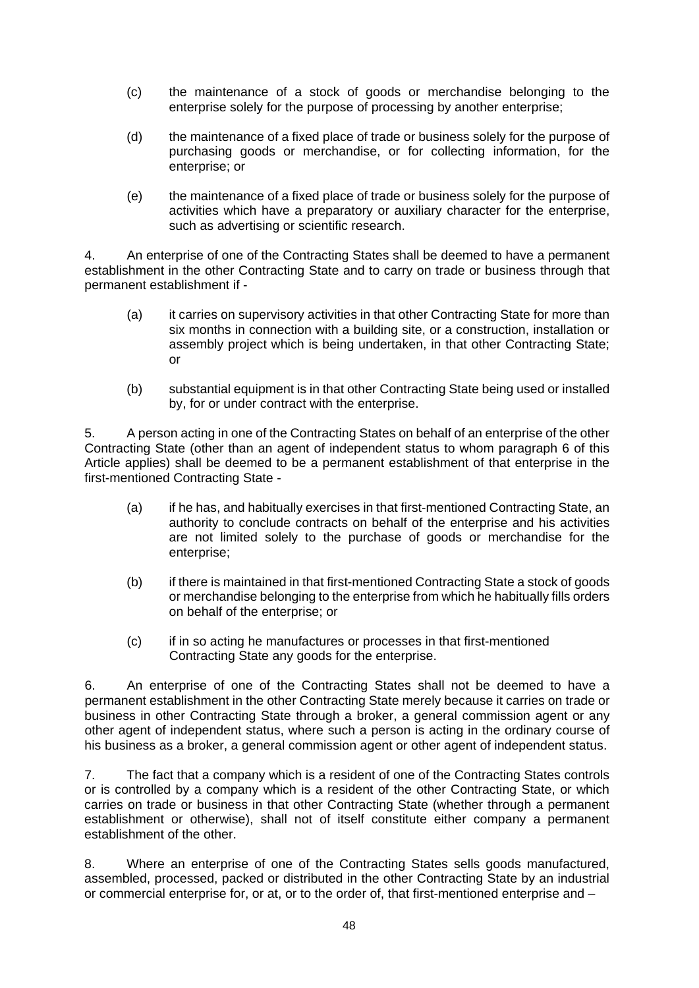- (c) the maintenance of a stock of goods or merchandise belonging to the enterprise solely for the purpose of processing by another enterprise;
- (d) the maintenance of a fixed place of trade or business solely for the purpose of purchasing goods or merchandise, or for collecting information, for the enterprise; or
- (e) the maintenance of a fixed place of trade or business solely for the purpose of activities which have a preparatory or auxiliary character for the enterprise, such as advertising or scientific research.

4. An enterprise of one of the Contracting States shall be deemed to have a permanent establishment in the other Contracting State and to carry on trade or business through that permanent establishment if -

- (a) it carries on supervisory activities in that other Contracting State for more than six months in connection with a building site, or a construction, installation or assembly project which is being undertaken, in that other Contracting State; or
- (b) substantial equipment is in that other Contracting State being used or installed by, for or under contract with the enterprise.

5. A person acting in one of the Contracting States on behalf of an enterprise of the other Contracting State (other than an agent of independent status to whom paragraph 6 of this Article applies) shall be deemed to be a permanent establishment of that enterprise in the first-mentioned Contracting State -

- (a) if he has, and habitually exercises in that first-mentioned Contracting State, an authority to conclude contracts on behalf of the enterprise and his activities are not limited solely to the purchase of goods or merchandise for the enterprise;
- (b) if there is maintained in that first-mentioned Contracting State a stock of goods or merchandise belonging to the enterprise from which he habitually fills orders on behalf of the enterprise; or
- (c) if in so acting he manufactures or processes in that first-mentioned Contracting State any goods for the enterprise.

6. An enterprise of one of the Contracting States shall not be deemed to have a permanent establishment in the other Contracting State merely because it carries on trade or business in other Contracting State through a broker, a general commission agent or any other agent of independent status, where such a person is acting in the ordinary course of his business as a broker, a general commission agent or other agent of independent status.

7. The fact that a company which is a resident of one of the Contracting States controls or is controlled by a company which is a resident of the other Contracting State, or which carries on trade or business in that other Contracting State (whether through a permanent establishment or otherwise), shall not of itself constitute either company a permanent establishment of the other.

8. Where an enterprise of one of the Contracting States sells goods manufactured, assembled, processed, packed or distributed in the other Contracting State by an industrial or commercial enterprise for, or at, or to the order of, that first-mentioned enterprise and –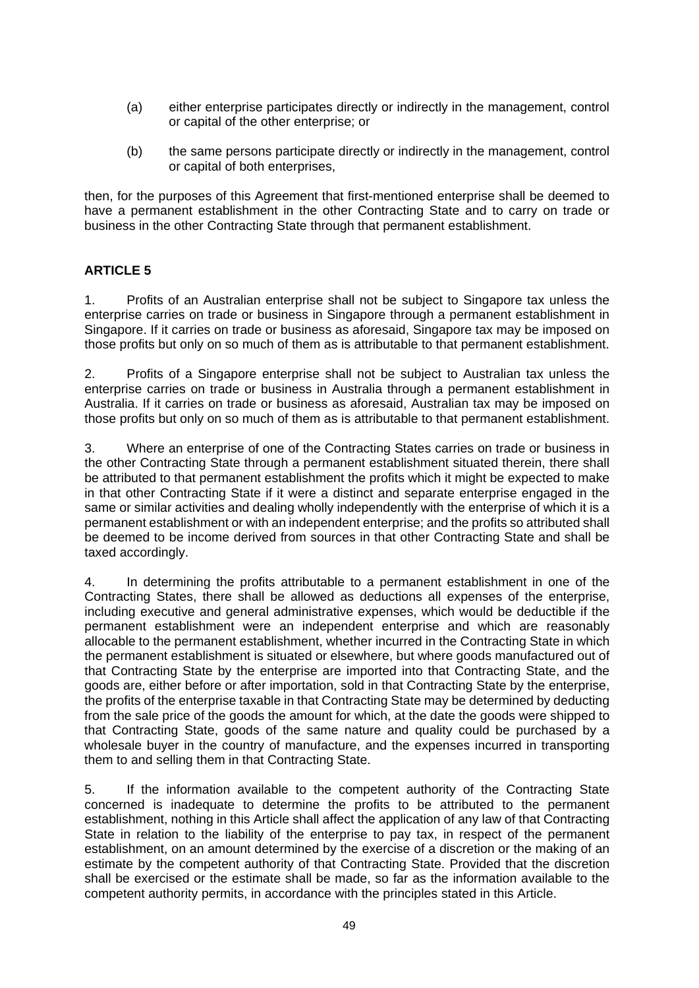- (a) either enterprise participates directly or indirectly in the management, control or capital of the other enterprise; or
- (b) the same persons participate directly or indirectly in the management, control or capital of both enterprises,

then, for the purposes of this Agreement that first-mentioned enterprise shall be deemed to have a permanent establishment in the other Contracting State and to carry on trade or business in the other Contracting State through that permanent establishment.

## **ARTICLE 5**

1. Profits of an Australian enterprise shall not be subject to Singapore tax unless the enterprise carries on trade or business in Singapore through a permanent establishment in Singapore. If it carries on trade or business as aforesaid, Singapore tax may be imposed on those profits but only on so much of them as is attributable to that permanent establishment.

2. Profits of a Singapore enterprise shall not be subject to Australian tax unless the enterprise carries on trade or business in Australia through a permanent establishment in Australia. If it carries on trade or business as aforesaid, Australian tax may be imposed on those profits but only on so much of them as is attributable to that permanent establishment.

3. Where an enterprise of one of the Contracting States carries on trade or business in the other Contracting State through a permanent establishment situated therein, there shall be attributed to that permanent establishment the profits which it might be expected to make in that other Contracting State if it were a distinct and separate enterprise engaged in the same or similar activities and dealing wholly independently with the enterprise of which it is a permanent establishment or with an independent enterprise; and the profits so attributed shall be deemed to be income derived from sources in that other Contracting State and shall be taxed accordingly.

4. In determining the profits attributable to a permanent establishment in one of the Contracting States, there shall be allowed as deductions all expenses of the enterprise, including executive and general administrative expenses, which would be deductible if the permanent establishment were an independent enterprise and which are reasonably allocable to the permanent establishment, whether incurred in the Contracting State in which the permanent establishment is situated or elsewhere, but where goods manufactured out of that Contracting State by the enterprise are imported into that Contracting State, and the goods are, either before or after importation, sold in that Contracting State by the enterprise, the profits of the enterprise taxable in that Contracting State may be determined by deducting from the sale price of the goods the amount for which, at the date the goods were shipped to that Contracting State, goods of the same nature and quality could be purchased by a wholesale buyer in the country of manufacture, and the expenses incurred in transporting them to and selling them in that Contracting State.

5. If the information available to the competent authority of the Contracting State concerned is inadequate to determine the profits to be attributed to the permanent establishment, nothing in this Article shall affect the application of any law of that Contracting State in relation to the liability of the enterprise to pay tax, in respect of the permanent establishment, on an amount determined by the exercise of a discretion or the making of an estimate by the competent authority of that Contracting State. Provided that the discretion shall be exercised or the estimate shall be made, so far as the information available to the competent authority permits, in accordance with the principles stated in this Article.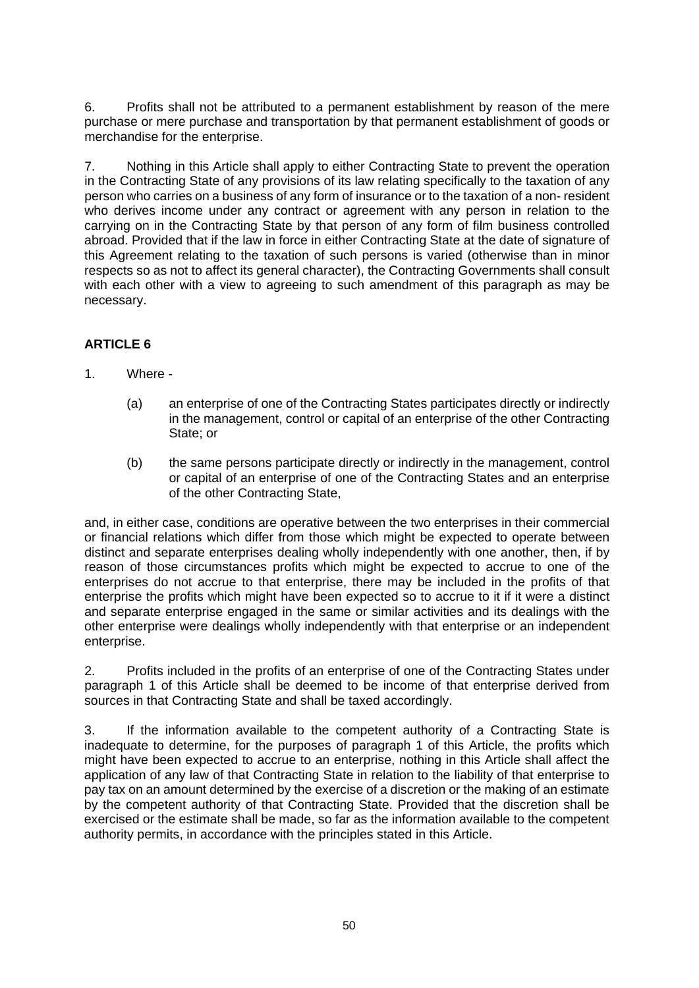6. Profits shall not be attributed to a permanent establishment by reason of the mere purchase or mere purchase and transportation by that permanent establishment of goods or merchandise for the enterprise.

7. Nothing in this Article shall apply to either Contracting State to prevent the operation in the Contracting State of any provisions of its law relating specifically to the taxation of any person who carries on a business of any form of insurance or to the taxation of a non- resident who derives income under any contract or agreement with any person in relation to the carrying on in the Contracting State by that person of any form of film business controlled abroad. Provided that if the law in force in either Contracting State at the date of signature of this Agreement relating to the taxation of such persons is varied (otherwise than in minor respects so as not to affect its general character), the Contracting Governments shall consult with each other with a view to agreeing to such amendment of this paragraph as may be necessary.

#### **ARTICLE 6**

- 1. Where
	- (a) an enterprise of one of the Contracting States participates directly or indirectly in the management, control or capital of an enterprise of the other Contracting State; or
	- (b) the same persons participate directly or indirectly in the management, control or capital of an enterprise of one of the Contracting States and an enterprise of the other Contracting State,

and, in either case, conditions are operative between the two enterprises in their commercial or financial relations which differ from those which might be expected to operate between distinct and separate enterprises dealing wholly independently with one another, then, if by reason of those circumstances profits which might be expected to accrue to one of the enterprises do not accrue to that enterprise, there may be included in the profits of that enterprise the profits which might have been expected so to accrue to it if it were a distinct and separate enterprise engaged in the same or similar activities and its dealings with the other enterprise were dealings wholly independently with that enterprise or an independent enterprise.

2. Profits included in the profits of an enterprise of one of the Contracting States under paragraph 1 of this Article shall be deemed to be income of that enterprise derived from sources in that Contracting State and shall be taxed accordingly.

3. If the information available to the competent authority of a Contracting State is inadequate to determine, for the purposes of paragraph 1 of this Article, the profits which might have been expected to accrue to an enterprise, nothing in this Article shall affect the application of any law of that Contracting State in relation to the liability of that enterprise to pay tax on an amount determined by the exercise of a discretion or the making of an estimate by the competent authority of that Contracting State. Provided that the discretion shall be exercised or the estimate shall be made, so far as the information available to the competent authority permits, in accordance with the principles stated in this Article.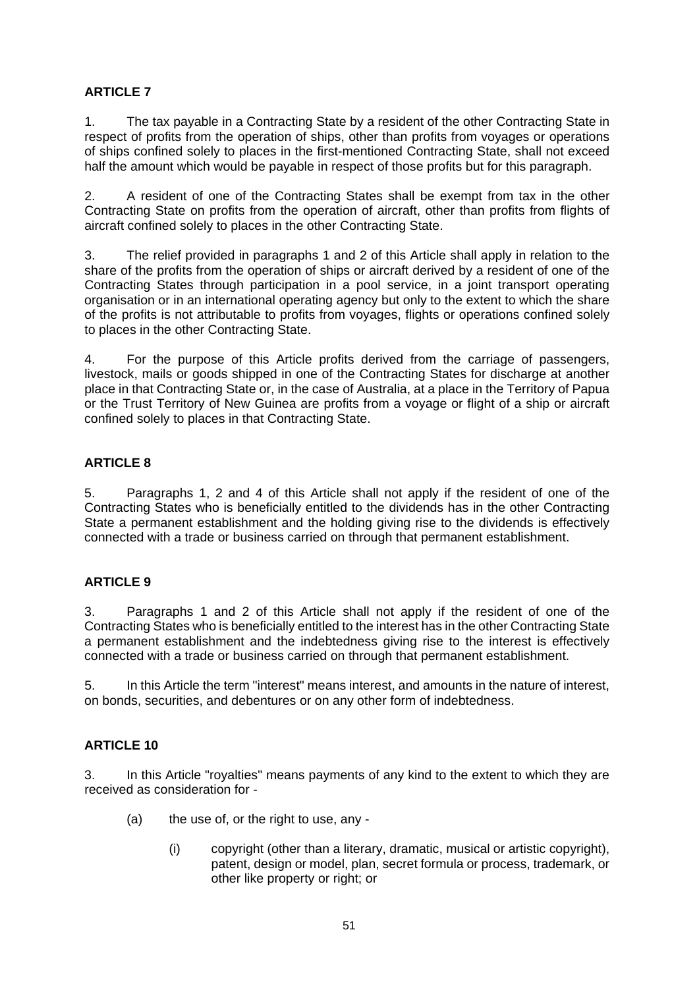1. The tax payable in a Contracting State by a resident of the other Contracting State in respect of profits from the operation of ships, other than profits from voyages or operations of ships confined solely to places in the first-mentioned Contracting State, shall not exceed half the amount which would be payable in respect of those profits but for this paragraph.

2. A resident of one of the Contracting States shall be exempt from tax in the other Contracting State on profits from the operation of aircraft, other than profits from flights of aircraft confined solely to places in the other Contracting State.

3. The relief provided in paragraphs 1 and 2 of this Article shall apply in relation to the share of the profits from the operation of ships or aircraft derived by a resident of one of the Contracting States through participation in a pool service, in a joint transport operating organisation or in an international operating agency but only to the extent to which the share of the profits is not attributable to profits from voyages, flights or operations confined solely to places in the other Contracting State.

4. For the purpose of this Article profits derived from the carriage of passengers, livestock, mails or goods shipped in one of the Contracting States for discharge at another place in that Contracting State or, in the case of Australia, at a place in the Territory of Papua or the Trust Territory of New Guinea are profits from a voyage or flight of a ship or aircraft confined solely to places in that Contracting State.

## **ARTICLE 8**

5. Paragraphs 1, 2 and 4 of this Article shall not apply if the resident of one of the Contracting States who is beneficially entitled to the dividends has in the other Contracting State a permanent establishment and the holding giving rise to the dividends is effectively connected with a trade or business carried on through that permanent establishment.

## **ARTICLE 9**

3. Paragraphs 1 and 2 of this Article shall not apply if the resident of one of the Contracting States who is beneficially entitled to the interest has in the other Contracting State a permanent establishment and the indebtedness giving rise to the interest is effectively connected with a trade or business carried on through that permanent establishment.

5. In this Article the term "interest" means interest, and amounts in the nature of interest, on bonds, securities, and debentures or on any other form of indebtedness.

## **ARTICLE 10**

3. In this Article "royalties" means payments of any kind to the extent to which they are received as consideration for -

- $(a)$  the use of, or the right to use, any -
	- (i) copyright (other than a literary, dramatic, musical or artistic copyright), patent, design or model, plan, secret formula or process, trademark, or other like property or right; or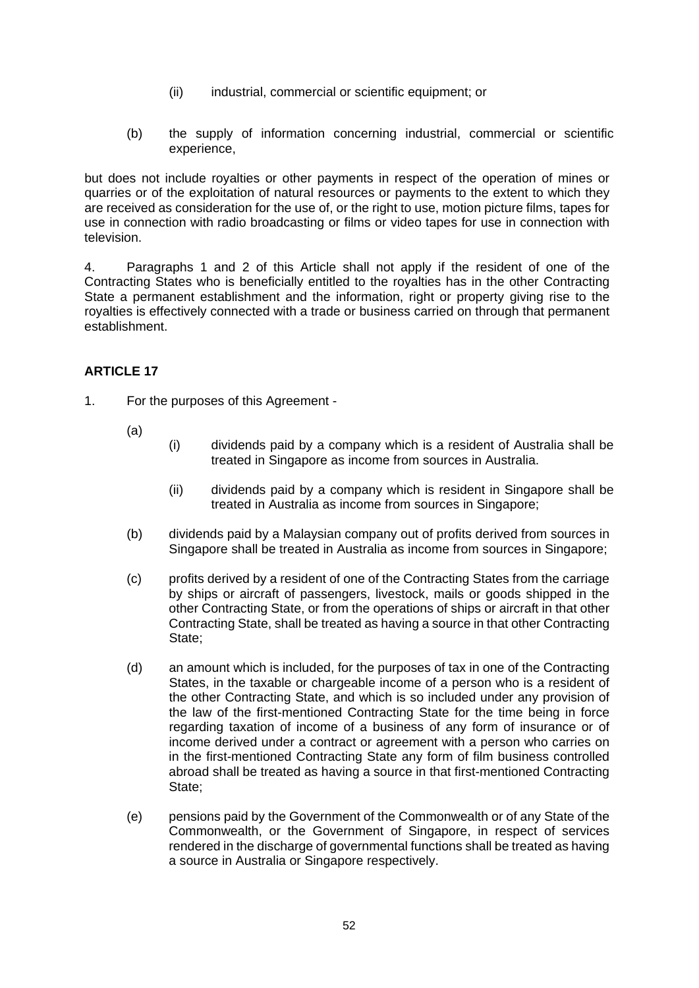- (ii) industrial, commercial or scientific equipment; or
- (b) the supply of information concerning industrial, commercial or scientific experience,

but does not include royalties or other payments in respect of the operation of mines or quarries or of the exploitation of natural resources or payments to the extent to which they are received as consideration for the use of, or the right to use, motion picture films, tapes for use in connection with radio broadcasting or films or video tapes for use in connection with television.

4. Paragraphs 1 and 2 of this Article shall not apply if the resident of one of the Contracting States who is beneficially entitled to the royalties has in the other Contracting State a permanent establishment and the information, right or property giving rise to the royalties is effectively connected with a trade or business carried on through that permanent establishment.

#### **ARTICLE 17**

- 1. For the purposes of this Agreement
	- (a)
- (i) dividends paid by a company which is a resident of Australia shall be treated in Singapore as income from sources in Australia.
	- (ii) dividends paid by a company which is resident in Singapore shall be treated in Australia as income from sources in Singapore;
- (b) dividends paid by a Malaysian company out of profits derived from sources in Singapore shall be treated in Australia as income from sources in Singapore;
- (c) profits derived by a resident of one of the Contracting States from the carriage by ships or aircraft of passengers, livestock, mails or goods shipped in the other Contracting State, or from the operations of ships or aircraft in that other Contracting State, shall be treated as having a source in that other Contracting State;
- (d) an amount which is included, for the purposes of tax in one of the Contracting States, in the taxable or chargeable income of a person who is a resident of the other Contracting State, and which is so included under any provision of the law of the first-mentioned Contracting State for the time being in force regarding taxation of income of a business of any form of insurance or of income derived under a contract or agreement with a person who carries on in the first-mentioned Contracting State any form of film business controlled abroad shall be treated as having a source in that first-mentioned Contracting State;
- (e) pensions paid by the Government of the Commonwealth or of any State of the Commonwealth, or the Government of Singapore, in respect of services rendered in the discharge of governmental functions shall be treated as having a source in Australia or Singapore respectively.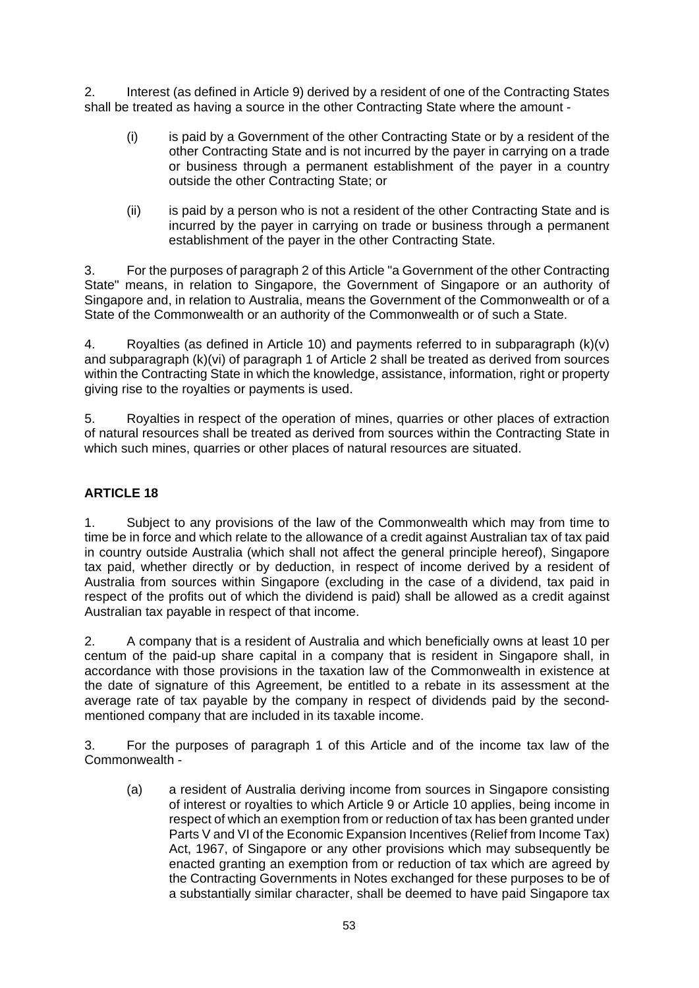2. Interest (as defined in Article 9) derived by a resident of one of the Contracting States shall be treated as having a source in the other Contracting State where the amount -

- (i) is paid by a Government of the other Contracting State or by a resident of the other Contracting State and is not incurred by the payer in carrying on a trade or business through a permanent establishment of the payer in a country outside the other Contracting State; or
- (ii) is paid by a person who is not a resident of the other Contracting State and is incurred by the payer in carrying on trade or business through a permanent establishment of the payer in the other Contracting State.

3. For the purposes of paragraph 2 of this Article "a Government of the other Contracting State" means, in relation to Singapore, the Government of Singapore or an authority of Singapore and, in relation to Australia, means the Government of the Commonwealth or of a State of the Commonwealth or an authority of the Commonwealth or of such a State.

4. Royalties (as defined in Article 10) and payments referred to in subparagraph (k)(v) and subparagraph (k)(vi) of paragraph 1 of Article 2 shall be treated as derived from sources within the Contracting State in which the knowledge, assistance, information, right or property giving rise to the royalties or payments is used.

5. Royalties in respect of the operation of mines, quarries or other places of extraction of natural resources shall be treated as derived from sources within the Contracting State in which such mines, quarries or other places of natural resources are situated.

## **ARTICLE 18**

1. Subject to any provisions of the law of the Commonwealth which may from time to time be in force and which relate to the allowance of a credit against Australian tax of tax paid in country outside Australia (which shall not affect the general principle hereof), Singapore tax paid, whether directly or by deduction, in respect of income derived by a resident of Australia from sources within Singapore (excluding in the case of a dividend, tax paid in respect of the profits out of which the dividend is paid) shall be allowed as a credit against Australian tax payable in respect of that income.

2. A company that is a resident of Australia and which beneficially owns at least 10 per centum of the paid-up share capital in a company that is resident in Singapore shall, in accordance with those provisions in the taxation law of the Commonwealth in existence at the date of signature of this Agreement, be entitled to a rebate in its assessment at the average rate of tax payable by the company in respect of dividends paid by the secondmentioned company that are included in its taxable income.

3. For the purposes of paragraph 1 of this Article and of the income tax law of the Commonwealth -

(a) a resident of Australia deriving income from sources in Singapore consisting of interest or royalties to which Article 9 or Article 10 applies, being income in respect of which an exemption from or reduction of tax has been granted under Parts V and VI of the Economic Expansion Incentives (Relief from Income Tax) Act, 1967, of Singapore or any other provisions which may subsequently be enacted granting an exemption from or reduction of tax which are agreed by the Contracting Governments in Notes exchanged for these purposes to be of a substantially similar character, shall be deemed to have paid Singapore tax